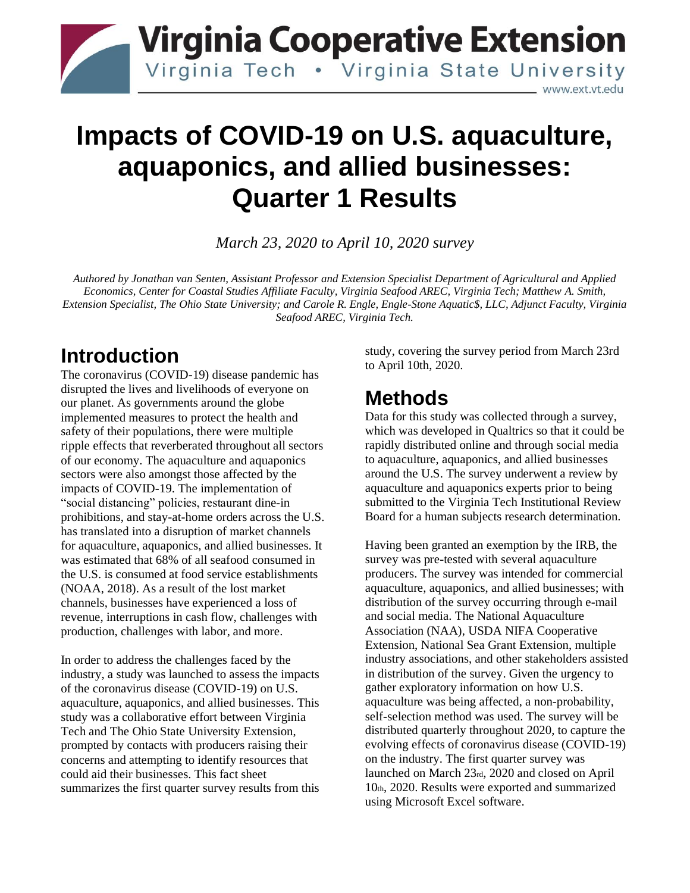

## **Impacts of COVID-19 on U.S. aquaculture, aquaponics, and allied businesses: Quarter 1 Results**

*March 23, 2020 to April 10, 2020 survey*

*Authored by Jonathan van Senten, Assistant Professor and Extension Specialist Department of Agricultural and Applied Economics, Center for Coastal Studies Affiliate Faculty, Virginia Seafood AREC, Virginia Tech; Matthew A. Smith, Extension Specialist, The Ohio State University; and Carole R. Engle, Engle-Stone Aquatic\$, LLC, Adjunct Faculty, Virginia Seafood AREC, Virginia Tech.* 

## **Introduction**

The coronavirus (COVID-19) disease pandemic has disrupted the lives and livelihoods of everyone on our planet. As governments around the globe implemented measures to protect the health and safety of their populations, there were multiple ripple effects that reverberated throughout all sectors of our economy. The aquaculture and aquaponics sectors were also amongst those affected by the impacts of COVID-19. The implementation of "social distancing" policies, restaurant dine-in prohibitions, and stay-at-home orders across the U.S. has translated into a disruption of market channels for aquaculture, aquaponics, and allied businesses. It was estimated that 68% of all seafood consumed in the U.S. is consumed at food service establishments (NOAA, 2018). As a result of the lost market channels, businesses have experienced a loss of revenue, interruptions in cash flow, challenges with production, challenges with labor, and more.

In order to address the challenges faced by the industry, a study was launched to assess the impacts of the coronavirus disease (COVID-19) on U.S. aquaculture, aquaponics, and allied businesses. This study was a collaborative effort between Virginia Tech and The Ohio State University Extension, prompted by contacts with producers raising their concerns and attempting to identify resources that could aid their businesses. This fact sheet summarizes the first quarter survey results from this study, covering the survey period from March 23rd to April 10th, 2020.

## **Methods**

Data for this study was collected through a survey, which was developed in Qualtrics so that it could be rapidly distributed online and through social media to aquaculture, aquaponics, and allied businesses around the U.S. The survey underwent a review by aquaculture and aquaponics experts prior to being submitted to the Virginia Tech Institutional Review Board for a human subjects research determination.

Having been granted an exemption by the IRB, the survey was pre-tested with several aquaculture producers. The survey was intended for commercial aquaculture, aquaponics, and allied businesses; with distribution of the survey occurring through e-mail and social media. The National Aquaculture Association (NAA), USDA NIFA Cooperative Extension, National Sea Grant Extension, multiple industry associations, and other stakeholders assisted in distribution of the survey. Given the urgency to gather exploratory information on how U.S. aquaculture was being affected, a non-probability, self-selection method was used. The survey will be distributed quarterly throughout 2020, to capture the evolving effects of coronavirus disease (COVID-19) on the industry. The first quarter survey was launched on March 23rd, 2020 and closed on April 10th, 2020. Results were exported and summarized using Microsoft Excel software.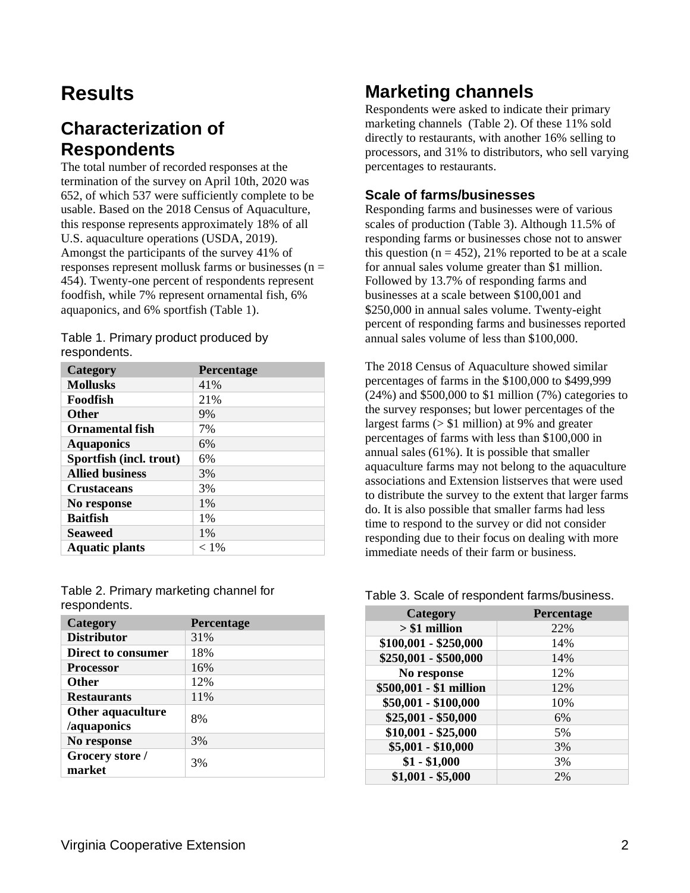## **Results**

## **Characterization of Respondents**

The total number of recorded responses at the termination of the survey on April 10th, 2020 was 652, of which 537 were sufficiently complete to be usable. Based on the 2018 Census of Aquaculture, this response represents approximately 18% of all U.S. aquaculture operations (USDA, 2019). Amongst the participants of the survey 41% of responses represent mollusk farms or businesses ( $n =$ 454). Twenty-one percent of respondents represent foodfish, while 7% represent ornamental fish, 6% aquaponics, and 6% sportfish (Table 1).

Table 1. Primary product produced by respondents.

| Category                | Percentage |
|-------------------------|------------|
| <b>Mollusks</b>         | 41%        |
| Foodfish                | 21%        |
| <b>Other</b>            | 9%         |
| <b>Ornamental fish</b>  | 7%         |
| <b>Aquaponics</b>       | 6%         |
| Sportfish (incl. trout) | 6%         |
| <b>Allied business</b>  | 3%         |
| <b>Crustaceans</b>      | 3%         |
| No response             | $1\%$      |
| <b>Baitfish</b>         | $1\%$      |
| <b>Seaweed</b>          | $1\%$      |
| <b>Aquatic plants</b>   | $< 1\%$    |

Table 2. Primary marketing channel for respondents.

| Category           | <b>Percentage</b> |
|--------------------|-------------------|
| <b>Distributor</b> | 31%               |
| Direct to consumer | 18%               |
| <b>Processor</b>   | 16%               |
| <b>Other</b>       | 12%               |
| <b>Restaurants</b> | 11%               |
| Other aquaculture  | 8%                |
| /aquaponics        |                   |
| No response        | 3%                |
| Grocery store /    | 3%                |
| market             |                   |

### **Marketing channels**

Respondents were asked to indicate their primary marketing channels (Table 2). Of these 11% sold directly to restaurants, with another 16% selling to processors, and 31% to distributors, who sell varying percentages to restaurants.

#### **Scale of farms/businesses**

Responding farms and businesses were of various scales of production (Table 3). Although 11.5% of responding farms or businesses chose not to answer this question ( $n = 452$ ), 21% reported to be at a scale for annual sales volume greater than \$1 million. Followed by 13.7% of responding farms and businesses at a scale between \$100,001 and \$250,000 in annual sales volume. Twenty-eight percent of responding farms and businesses reported annual sales volume of less than \$100,000.

The 2018 Census of Aquaculture showed similar percentages of farms in the \$100,000 to \$499,999 (24%) and \$500,000 to \$1 million (7%) categories to the survey responses; but lower percentages of the largest farms (> \$1 million) at 9% and greater percentages of farms with less than \$100,000 in annual sales (61%). It is possible that smaller aquaculture farms may not belong to the aquaculture associations and Extension listserves that were used to distribute the survey to the extent that larger farms do. It is also possible that smaller farms had less time to respond to the survey or did not consider responding due to their focus on dealing with more immediate needs of their farm or business.

#### Table 3. Scale of respondent farms/business.

| Category                | Percentage |
|-------------------------|------------|
| $> $1$ million          | 22%        |
| $$100,001 - $250,000$   | 14%        |
| \$250,001 - \$500,000   | 14%        |
| No response             | 12%        |
| \$500,001 - \$1 million | 12%        |
| \$50,001 - \$100,000    | 10%        |
| $$25,001 - $50,000$     | 6%         |
| $$10,001 - $25,000$     | 5%         |
| $$5,001 - $10,000$      | 3%         |
| $$1 - $1,000$           | 3%         |
| $$1,001 - $5,000$       | 2%         |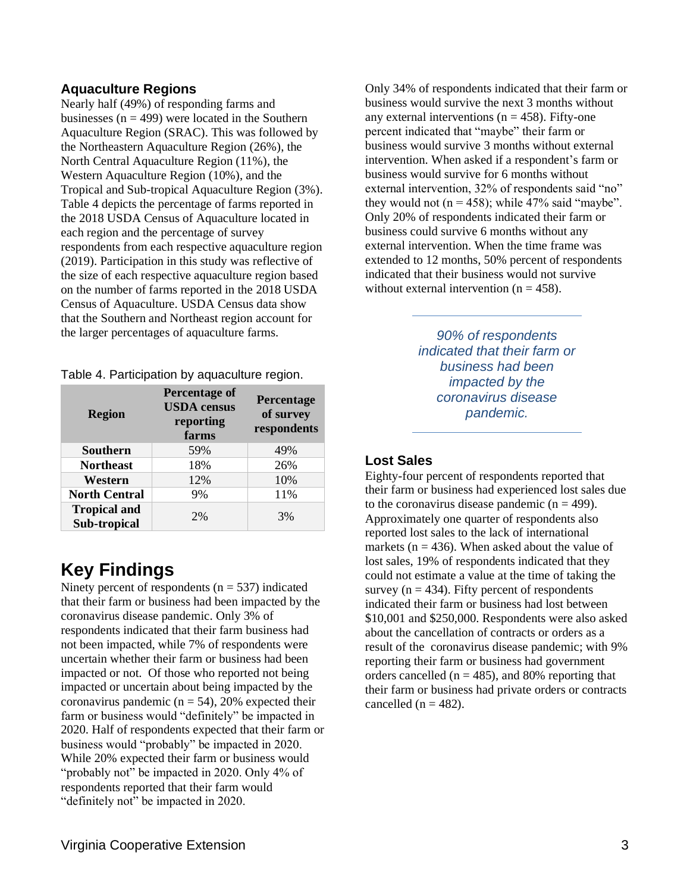#### **Aquaculture Regions**

Nearly half (49%) of responding farms and businesses ( $n = 499$ ) were located in the Southern Aquaculture Region (SRAC). This was followed by the Northeastern Aquaculture Region (26%), the North Central Aquaculture Region (11%), the Western Aquaculture Region (10%), and the Tropical and Sub-tropical Aquaculture Region (3%). Table 4 depicts the percentage of farms reported in the 2018 USDA Census of Aquaculture located in each region and the percentage of survey respondents from each respective aquaculture region (2019). Participation in this study was reflective of the size of each respective aquaculture region based on the number of farms reported in the 2018 USDA Census of Aquaculture. USDA Census data show that the Southern and Northeast region account for the larger percentages of aquaculture farms.

Table 4. Participation by aquaculture region.

| <b>Region</b>                       | <b>Percentage of</b><br><b>USDA</b> census<br>reporting<br>farms | Percentage<br>of survey<br>respondents |
|-------------------------------------|------------------------------------------------------------------|----------------------------------------|
| <b>Southern</b>                     | 59%                                                              | 49%                                    |
| <b>Northeast</b>                    | 18%                                                              | 26%                                    |
| Western                             | 12%                                                              | 10%                                    |
| <b>North Central</b>                | 9%                                                               | 11%                                    |
| <b>Tropical and</b><br>Sub-tropical | 2%                                                               | 3%                                     |

### **Key Findings**

Ninety percent of respondents ( $n = 537$ ) indicated that their farm or business had been impacted by the coronavirus disease pandemic. Only 3% of respondents indicated that their farm business had not been impacted, while 7% of respondents were uncertain whether their farm or business had been impacted or not. Of those who reported not being impacted or uncertain about being impacted by the coronavirus pandemic ( $n = 54$ ), 20% expected their farm or business would "definitely" be impacted in 2020. Half of respondents expected that their farm or business would "probably" be impacted in 2020. While 20% expected their farm or business would "probably not" be impacted in 2020. Only 4% of respondents reported that their farm would "definitely not" be impacted in 2020.

Only 34% of respondents indicated that their farm or business would survive the next 3 months without any external interventions ( $n = 458$ ). Fifty-one percent indicated that "maybe" their farm or business would survive 3 months without external intervention. When asked if a respondent's farm or business would survive for 6 months without external intervention, 32% of respondents said "no" they would not  $(n = 458)$ ; while 47% said "maybe". Only 20% of respondents indicated their farm or business could survive 6 months without any external intervention. When the time frame was extended to 12 months, 50% percent of respondents indicated that their business would not survive without external intervention  $(n = 458)$ .

> *90% of respondents indicated that their farm or business had been impacted by the coronavirus disease pandemic.*

#### **Lost Sales**

Eighty-four percent of respondents reported that their farm or business had experienced lost sales due to the coronavirus disease pandemic  $(n = 499)$ . Approximately one quarter of respondents also reported lost sales to the lack of international markets ( $n = 436$ ). When asked about the value of lost sales, 19% of respondents indicated that they could not estimate a value at the time of taking the survey ( $n = 434$ ). Fifty percent of respondents indicated their farm or business had lost between \$10,001 and \$250,000. Respondents were also asked about the cancellation of contracts or orders as a result of the coronavirus disease pandemic; with 9% reporting their farm or business had government orders cancelled ( $n = 485$ ), and 80% reporting that their farm or business had private orders or contracts cancelled  $(n = 482)$ .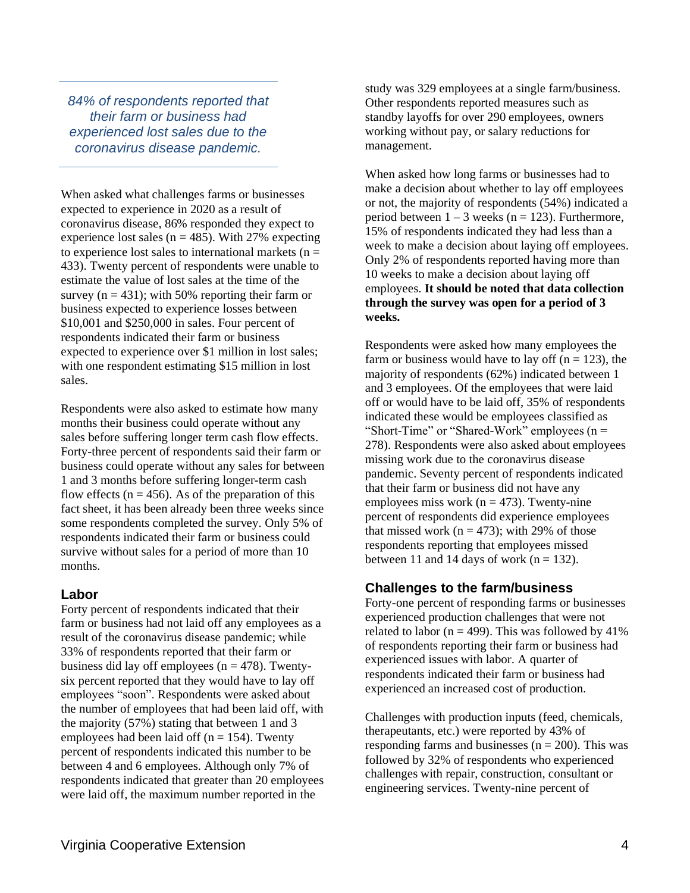*84% of respondents reported that their farm or business had experienced lost sales due to the coronavirus disease pandemic.*

When asked what challenges farms or businesses expected to experience in 2020 as a result of coronavirus disease, 86% responded they expect to experience lost sales ( $n = 485$ ). With 27% expecting to experience lost sales to international markets ( $n =$ 433). Twenty percent of respondents were unable to estimate the value of lost sales at the time of the survey ( $n = 431$ ); with 50% reporting their farm or business expected to experience losses between \$10,001 and \$250,000 in sales. Four percent of respondents indicated their farm or business expected to experience over \$1 million in lost sales; with one respondent estimating \$15 million in lost sales.

Respondents were also asked to estimate how many months their business could operate without any sales before suffering longer term cash flow effects. Forty-three percent of respondents said their farm or business could operate without any sales for between 1 and 3 months before suffering longer-term cash flow effects ( $n = 456$ ). As of the preparation of this fact sheet, it has been already been three weeks since some respondents completed the survey. Only 5% of respondents indicated their farm or business could survive without sales for a period of more than 10 months.

#### **Labor**

Forty percent of respondents indicated that their farm or business had not laid off any employees as a result of the coronavirus disease pandemic; while 33% of respondents reported that their farm or business did lay off employees ( $n = 478$ ). Twentysix percent reported that they would have to lay off employees "soon". Respondents were asked about the number of employees that had been laid off, with the majority (57%) stating that between 1 and 3 employees had been laid off ( $n = 154$ ). Twenty percent of respondents indicated this number to be between 4 and 6 employees. Although only 7% of respondents indicated that greater than 20 employees were laid off, the maximum number reported in the

study was 329 employees at a single farm/business. Other respondents reported measures such as standby layoffs for over 290 employees, owners working without pay, or salary reductions for management.

When asked how long farms or businesses had to make a decision about whether to lay off employees or not, the majority of respondents (54%) indicated a period between  $1 - 3$  weeks (n = 123). Furthermore, 15% of respondents indicated they had less than a week to make a decision about laying off employees. Only 2% of respondents reported having more than 10 weeks to make a decision about laying off employees. **It should be noted that data collection through the survey was open for a period of 3 weeks.**

Respondents were asked how many employees the farm or business would have to lay off ( $n = 123$ ), the majority of respondents (62%) indicated between 1 and 3 employees. Of the employees that were laid off or would have to be laid off, 35% of respondents indicated these would be employees classified as "Short-Time" or "Shared-Work" employees (n = 278). Respondents were also asked about employees missing work due to the coronavirus disease pandemic. Seventy percent of respondents indicated that their farm or business did not have any employees miss work ( $n = 473$ ). Twenty-nine percent of respondents did experience employees that missed work ( $n = 473$ ); with 29% of those respondents reporting that employees missed between 11 and 14 days of work ( $n = 132$ ).

#### **Challenges to the farm/business**

Forty-one percent of responding farms or businesses experienced production challenges that were not related to labor ( $n = 499$ ). This was followed by 41% of respondents reporting their farm or business had experienced issues with labor. A quarter of respondents indicated their farm or business had experienced an increased cost of production.

Challenges with production inputs (feed, chemicals, therapeutants, etc.) were reported by 43% of responding farms and businesses  $(n = 200)$ . This was followed by 32% of respondents who experienced challenges with repair, construction, consultant or engineering services. Twenty-nine percent of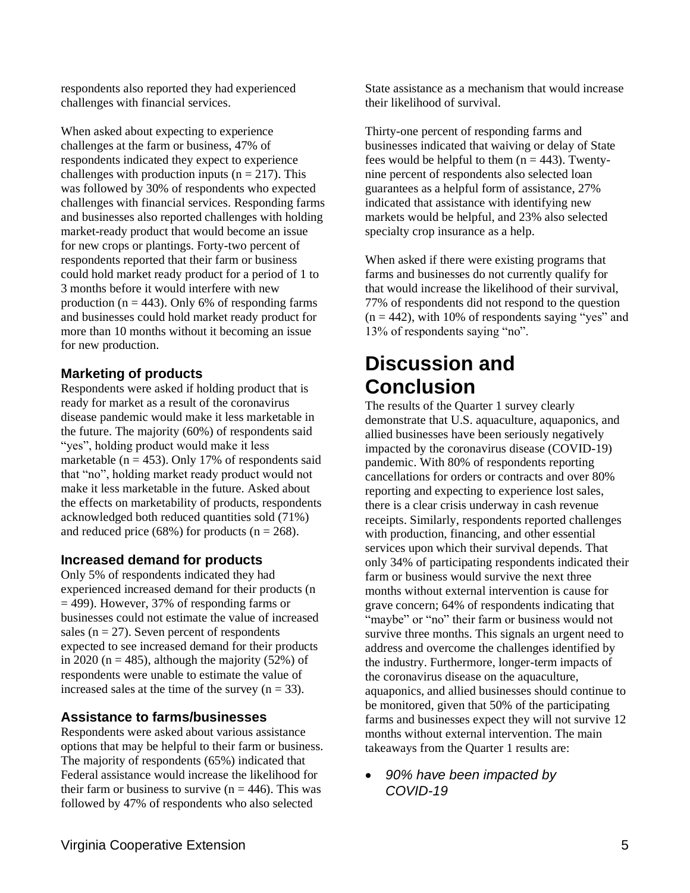respondents also reported they had experienced challenges with financial services.

When asked about expecting to experience challenges at the farm or business, 47% of respondents indicated they expect to experience challenges with production inputs ( $n = 217$ ). This was followed by 30% of respondents who expected challenges with financial services. Responding farms and businesses also reported challenges with holding market-ready product that would become an issue for new crops or plantings. Forty-two percent of respondents reported that their farm or business could hold market ready product for a period of 1 to 3 months before it would interfere with new production ( $n = 443$ ). Only 6% of responding farms and businesses could hold market ready product for more than 10 months without it becoming an issue for new production.

#### **Marketing of products**

Respondents were asked if holding product that is ready for market as a result of the coronavirus disease pandemic would make it less marketable in the future. The majority (60%) of respondents said "yes", holding product would make it less marketable ( $n = 453$ ). Only 17% of respondents said that "no", holding market ready product would not make it less marketable in the future. Asked about the effects on marketability of products, respondents acknowledged both reduced quantities sold (71%) and reduced price (68%) for products ( $n = 268$ ).

#### **Increased demand for products**

Only 5% of respondents indicated they had experienced increased demand for their products (n = 499). However, 37% of responding farms or businesses could not estimate the value of increased sales ( $n = 27$ ). Seven percent of respondents expected to see increased demand for their products in 2020 ( $n = 485$ ), although the majority (52%) of respondents were unable to estimate the value of increased sales at the time of the survey  $(n = 33)$ .

#### **Assistance to farms/businesses**

Respondents were asked about various assistance options that may be helpful to their farm or business. The majority of respondents (65%) indicated that Federal assistance would increase the likelihood for their farm or business to survive ( $n = 446$ ). This was followed by 47% of respondents who also selected

State assistance as a mechanism that would increase their likelihood of survival.

Thirty-one percent of responding farms and businesses indicated that waiving or delay of State fees would be helpful to them  $(n = 443)$ . Twentynine percent of respondents also selected loan guarantees as a helpful form of assistance, 27% indicated that assistance with identifying new markets would be helpful, and 23% also selected specialty crop insurance as a help.

When asked if there were existing programs that farms and businesses do not currently qualify for that would increase the likelihood of their survival, 77% of respondents did not respond to the question  $(n = 442)$ , with 10% of respondents saying "yes" and 13% of respondents saying "no".

## **Discussion and Conclusion**

The results of the Quarter 1 survey clearly demonstrate that U.S. aquaculture, aquaponics, and allied businesses have been seriously negatively impacted by the coronavirus disease (COVID-19) pandemic. With 80% of respondents reporting cancellations for orders or contracts and over 80% reporting and expecting to experience lost sales, there is a clear crisis underway in cash revenue receipts. Similarly, respondents reported challenges with production, financing, and other essential services upon which their survival depends. That only 34% of participating respondents indicated their farm or business would survive the next three months without external intervention is cause for grave concern; 64% of respondents indicating that "maybe" or "no" their farm or business would not survive three months. This signals an urgent need to address and overcome the challenges identified by the industry. Furthermore, longer-term impacts of the coronavirus disease on the aquaculture, aquaponics, and allied businesses should continue to be monitored, given that 50% of the participating farms and businesses expect they will not survive 12 months without external intervention. The main takeaways from the Quarter 1 results are:

• *90% have been impacted by COVID-19*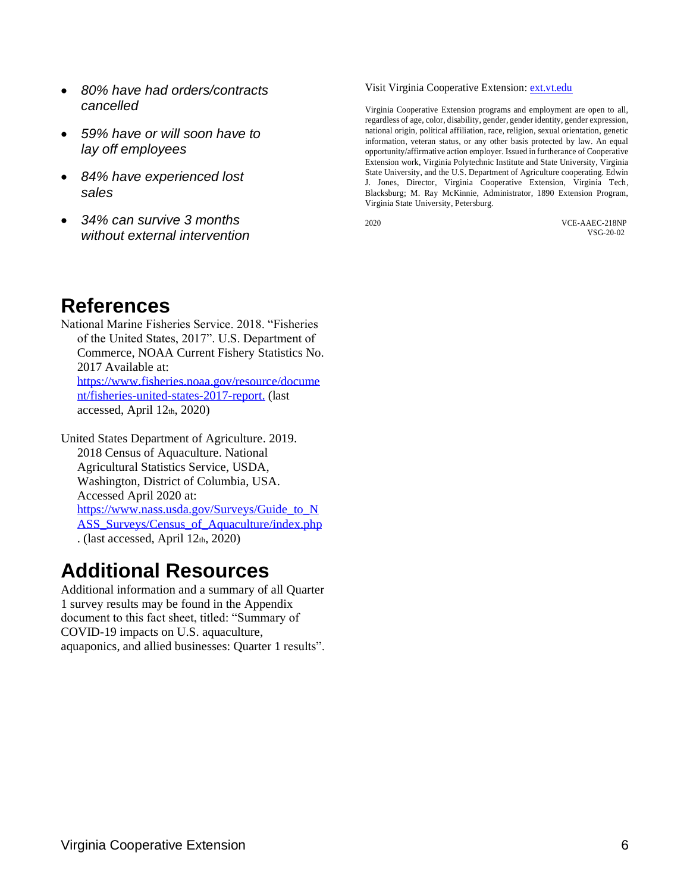- *80% have had orders/contracts cancelled*
- *59% have or will soon have to lay off employees*
- *84% have experienced lost sales*
- *34% can survive 3 months without external intervention*

#### Visit Virginia Cooperative Extension[: ext.vt.edu](http://ext.vt.edu/)

Virginia Cooperative Extension programs and employment are open to all, regardless of age, color, disability, gender, gender identity, gender expression, national origin, political affiliation, race, religion, sexual orientation, genetic information, veteran status, or any other basis protected by law. An equal opportunity/affirmative action employer. Issued in furtherance of Cooperative Extension work, Virginia Polytechnic Institute and State University, Virginia State University, and the U.S. Department of Agriculture cooperating. Edwin J. Jones, Director, Virginia Cooperative Extension, Virginia Tech, Blacksburg; M. Ray McKinnie, Administrator, 1890 Extension Program, Virginia State University, Petersburg.

2020 VCE-AAEC-218NP VSG-20-02

### **References**

National Marine Fisheries Service. 2018. "Fisheries of the United States, 2017". U.S. Department of Commerce, NOAA Current Fishery Statistics No. 2017 Available at: [https://www.fisheries.noaa.gov/resource/docume](https://www.fisheries.noaa.gov/resource/document/fisheries-united-states-2017-report) [nt/fisheries-united-states-2017-report.](https://www.fisheries.noaa.gov/resource/document/fisheries-united-states-2017-report) (last accessed, April 12th, 2020)

United States Department of Agriculture. 2019. 2018 Census of Aquaculture. National Agricultural Statistics Service, USDA, Washington, District of Columbia, USA. Accessed April 2020 at: [https://www.nass.usda.gov/Surveys/Guide\\_to\\_N](https://www.nass.usda.gov/Surveys/Guide_to_NASS_Surveys/Census_of_Aquaculture/index.php) [ASS\\_Surveys/Census\\_of\\_Aquaculture/index.php](https://www.nass.usda.gov/Surveys/Guide_to_NASS_Surveys/Census_of_Aquaculture/index.php) . (last accessed, April 12th, 2020)

## **Additional Resources**

Additional information and a summary of all Quarter 1 survey results may be found in the Appendix document to this fact sheet, titled: "Summary of COVID-19 impacts on U.S. aquaculture, aquaponics, and allied businesses: Quarter 1 results".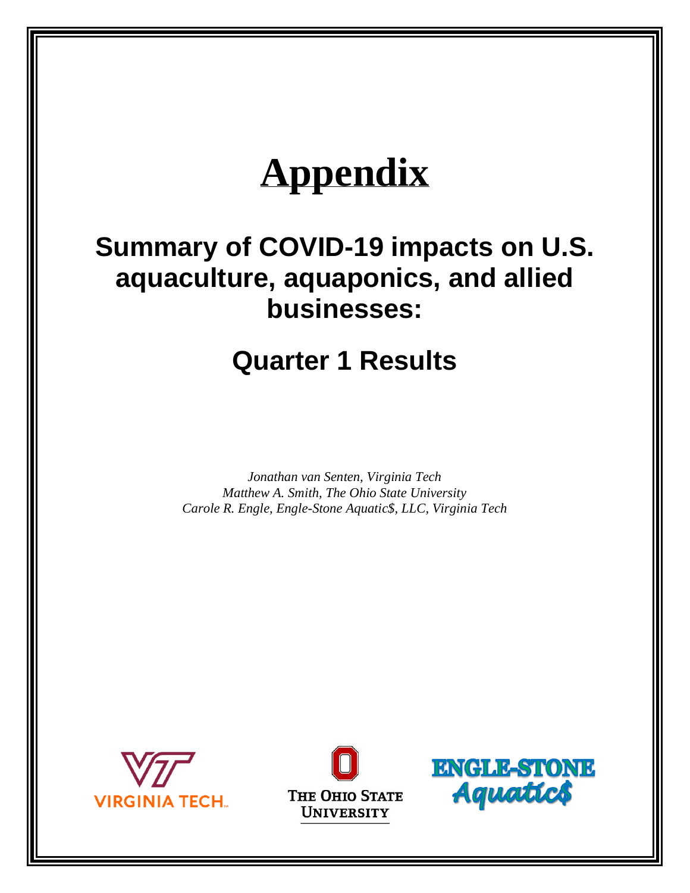# **Appendix**

## **Summary of COVID-19 impacts on U.S. aquaculture, aquaponics, and allied businesses:**

## **Quarter 1 Results**

*Jonathan van Senten, Virginia Tech Matthew A. Smith, The Ohio State University Carole R. Engle, Engle-Stone Aquatic\$, LLC, Virginia Tech*





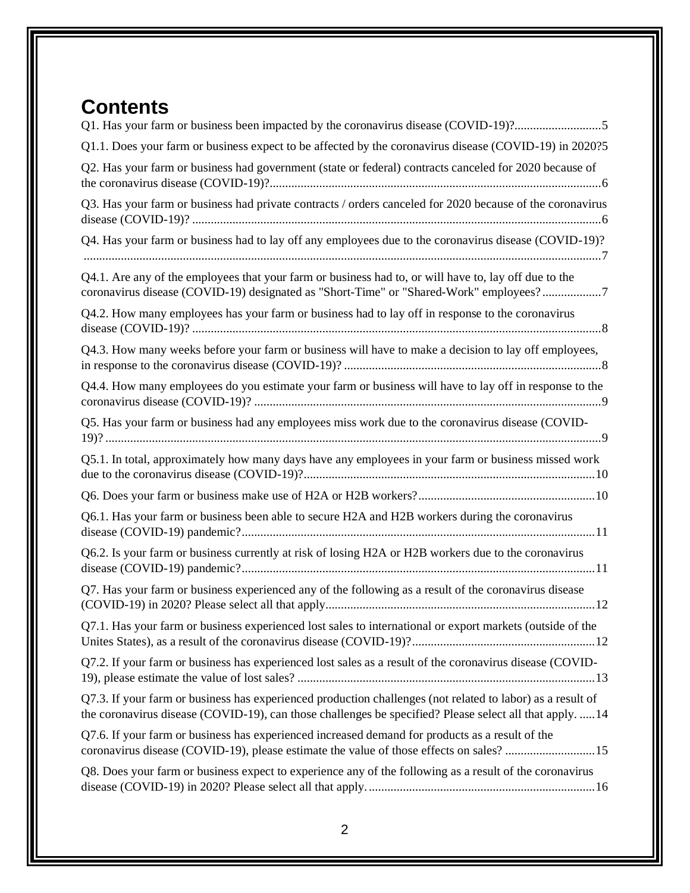## **Contents**

| Q1.1. Does your farm or business expect to be affected by the coronavirus disease (COVID-19) in 2020?5                                                                                                                 |
|------------------------------------------------------------------------------------------------------------------------------------------------------------------------------------------------------------------------|
| Q2. Has your farm or business had government (state or federal) contracts canceled for 2020 because of                                                                                                                 |
| Q3. Has your farm or business had private contracts / orders canceled for 2020 because of the coronavirus                                                                                                              |
| Q4. Has your farm or business had to lay off any employees due to the coronavirus disease (COVID-19)?                                                                                                                  |
| Q4.1. Are any of the employees that your farm or business had to, or will have to, lay off due to the<br>coronavirus disease (COVID-19) designated as "Short-Time" or "Shared-Work" employees?7                        |
| Q4.2. How many employees has your farm or business had to lay off in response to the coronavirus                                                                                                                       |
| Q4.3. How many weeks before your farm or business will have to make a decision to lay off employees,                                                                                                                   |
| Q4.4. How many employees do you estimate your farm or business will have to lay off in response to the                                                                                                                 |
| Q5. Has your farm or business had any employees miss work due to the coronavirus disease (COVID-                                                                                                                       |
| Q5.1. In total, approximately how many days have any employees in your farm or business missed work                                                                                                                    |
|                                                                                                                                                                                                                        |
| Q6.1. Has your farm or business been able to secure H2A and H2B workers during the coronavirus                                                                                                                         |
| Q6.2. Is your farm or business currently at risk of losing H2A or H2B workers due to the coronavirus                                                                                                                   |
| Q7. Has your farm or business experienced any of the following as a result of the coronavirus disease                                                                                                                  |
| Q7.1. Has your farm or business experienced lost sales to international or export markets (outside of the                                                                                                              |
| Q7.2. If your farm or business has experienced lost sales as a result of the coronavirus disease (COVID-                                                                                                               |
| Q7.3. If your farm or business has experienced production challenges (not related to labor) as a result of<br>the coronavirus disease (COVID-19), can those challenges be specified? Please select all that apply.  14 |
| Q7.6. If your farm or business has experienced increased demand for products as a result of the<br>coronavirus disease (COVID-19), please estimate the value of those effects on sales? 15                             |
| Q8. Does your farm or business expect to experience any of the following as a result of the coronavirus                                                                                                                |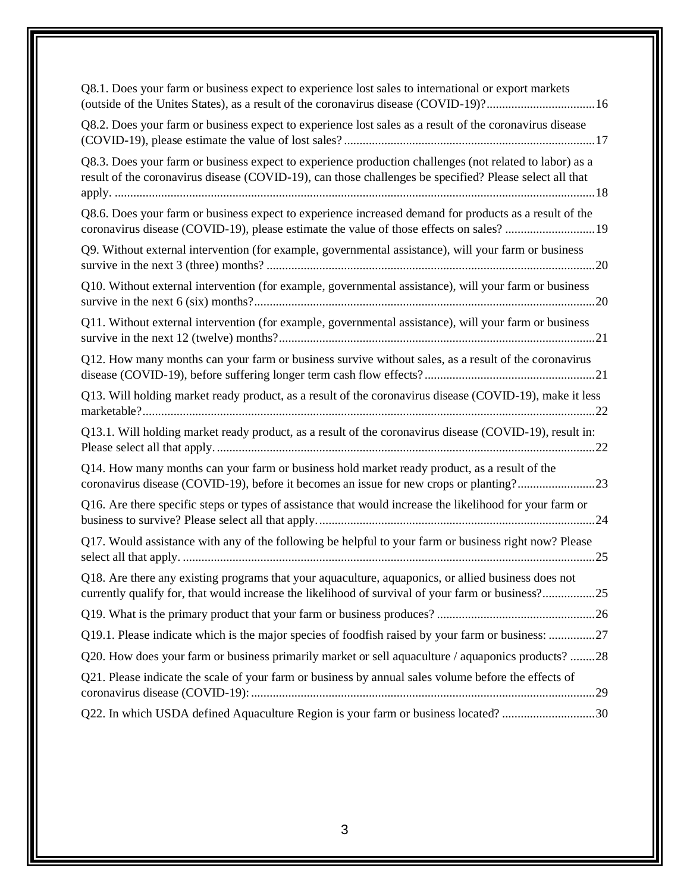| Q8.1. Does your farm or business expect to experience lost sales to international or export markets<br>(outside of the Unites States), as a result of the coronavirus disease (COVID-19)?16                        |
|--------------------------------------------------------------------------------------------------------------------------------------------------------------------------------------------------------------------|
| Q8.2. Does your farm or business expect to experience lost sales as a result of the coronavirus disease                                                                                                            |
| Q8.3. Does your farm or business expect to experience production challenges (not related to labor) as a<br>result of the coronavirus disease (COVID-19), can those challenges be specified? Please select all that |
| Q8.6. Does your farm or business expect to experience increased demand for products as a result of the<br>coronavirus disease (COVID-19), please estimate the value of those effects on sales? 19                  |
| Q9. Without external intervention (for example, governmental assistance), will your farm or business                                                                                                               |
| Q10. Without external intervention (for example, governmental assistance), will your farm or business                                                                                                              |
| Q11. Without external intervention (for example, governmental assistance), will your farm or business                                                                                                              |
| Q12. How many months can your farm or business survive without sales, as a result of the coronavirus                                                                                                               |
| Q13. Will holding market ready product, as a result of the coronavirus disease (COVID-19), make it less                                                                                                            |
| Q13.1. Will holding market ready product, as a result of the coronavirus disease (COVID-19), result in:                                                                                                            |
| Q14. How many months can your farm or business hold market ready product, as a result of the<br>coronavirus disease (COVID-19), before it becomes an issue for new crops or planting?23                            |
| Q16. Are there specific steps or types of assistance that would increase the likelihood for your farm or                                                                                                           |
| Q17. Would assistance with any of the following be helpful to your farm or business right now? Please                                                                                                              |
| Q18. Are there any existing programs that your aquaculture, aquaponics, or allied business does not<br>currently qualify for, that would increase the likelihood of survival of your farm or business?25           |
|                                                                                                                                                                                                                    |
| Q19.1. Please indicate which is the major species of foodfish raised by your farm or business: 27                                                                                                                  |
| Q20. How does your farm or business primarily market or sell aquaculture / aquaponics products? 28                                                                                                                 |
| Q21. Please indicate the scale of your farm or business by annual sales volume before the effects of                                                                                                               |
| Q22. In which USDA defined Aquaculture Region is your farm or business located? 30                                                                                                                                 |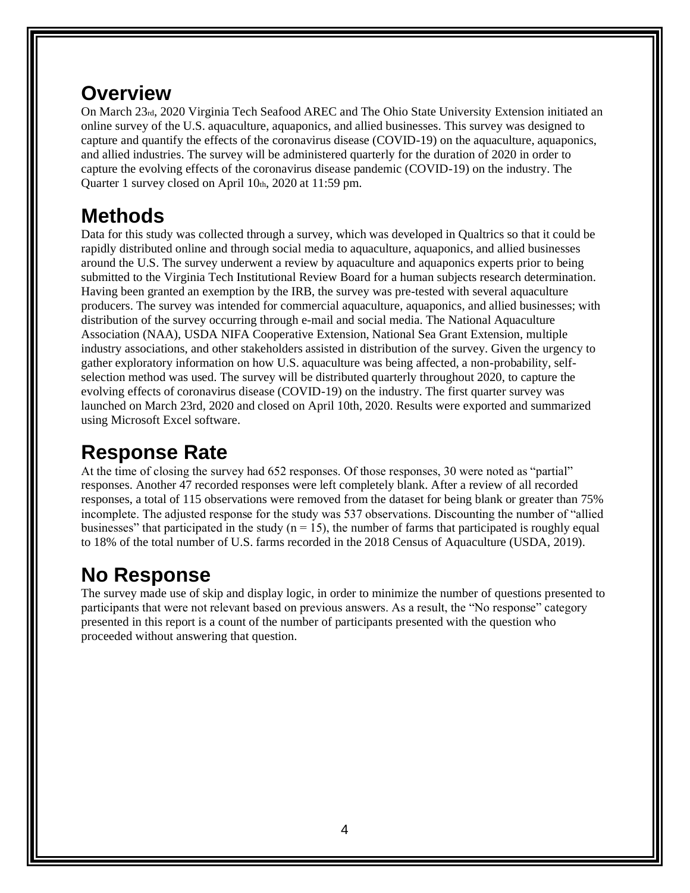## **Overview**

On March 23rd, 2020 Virginia Tech Seafood AREC and The Ohio State University Extension initiated an online survey of the U.S. aquaculture, aquaponics, and allied businesses. This survey was designed to capture and quantify the effects of the coronavirus disease (COVID-19) on the aquaculture, aquaponics, and allied industries. The survey will be administered quarterly for the duration of 2020 in order to capture the evolving effects of the coronavirus disease pandemic (COVID-19) on the industry. The Quarter 1 survey closed on April 10th, 2020 at 11:59 pm.

## **Methods**

Data for this study was collected through a survey, which was developed in Qualtrics so that it could be rapidly distributed online and through social media to aquaculture, aquaponics, and allied businesses around the U.S. The survey underwent a review by aquaculture and aquaponics experts prior to being submitted to the Virginia Tech Institutional Review Board for a human subjects research determination. Having been granted an exemption by the IRB, the survey was pre-tested with several aquaculture producers. The survey was intended for commercial aquaculture, aquaponics, and allied businesses; with distribution of the survey occurring through e-mail and social media. The National Aquaculture Association (NAA), USDA NIFA Cooperative Extension, National Sea Grant Extension, multiple industry associations, and other stakeholders assisted in distribution of the survey. Given the urgency to gather exploratory information on how U.S. aquaculture was being affected, a non-probability, selfselection method was used. The survey will be distributed quarterly throughout 2020, to capture the evolving effects of coronavirus disease (COVID-19) on the industry. The first quarter survey was launched on March 23rd, 2020 and closed on April 10th, 2020. Results were exported and summarized using Microsoft Excel software.

## **Response Rate**

At the time of closing the survey had 652 responses. Of those responses, 30 were noted as "partial" responses. Another 47 recorded responses were left completely blank. After a review of all recorded responses, a total of 115 observations were removed from the dataset for being blank or greater than 75% incomplete. The adjusted response for the study was 537 observations. Discounting the number of "allied businesses" that participated in the study ( $n = 15$ ), the number of farms that participated is roughly equal to 18% of the total number of U.S. farms recorded in the 2018 Census of Aquaculture (USDA, 2019).

## **No Response**

The survey made use of skip and display logic, in order to minimize the number of questions presented to participants that were not relevant based on previous answers. As a result, the "No response" category presented in this report is a count of the number of participants presented with the question who proceeded without answering that question.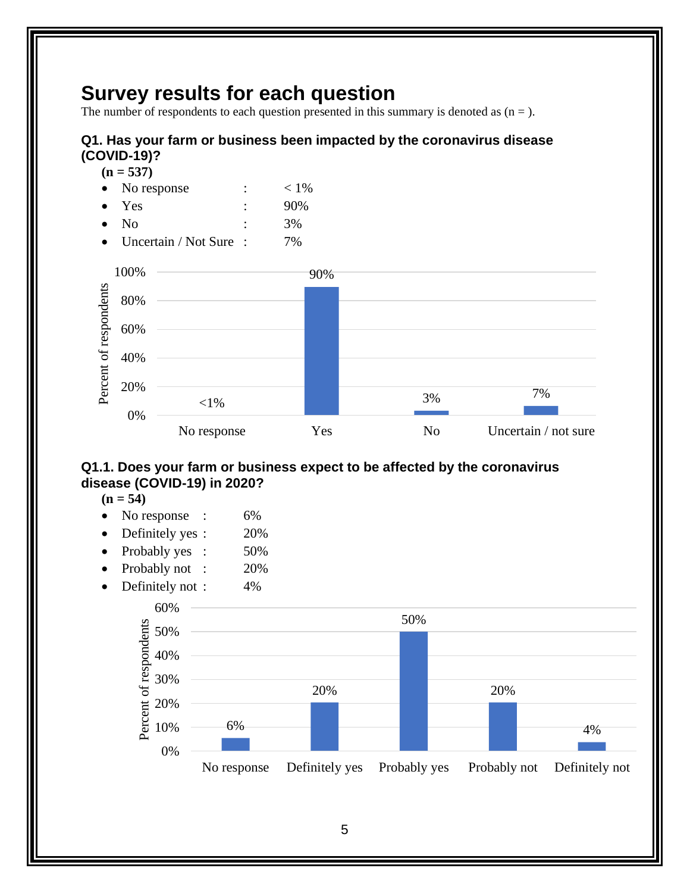## **Survey results for each question**

The number of respondents to each question presented in this summary is denoted as  $(n =)$ .

#### <span id="page-10-0"></span>**Q1. Has your farm or business been impacted by the coronavirus disease (COVID-19)?**



- No response  $: < 1\%$ • Yes : 90%
- No : 3%
- Uncertain / Not Sure : 7%



#### <span id="page-10-1"></span>**Q1.1. Does your farm or business expect to be affected by the coronavirus disease (COVID-19) in 2020?**

- $(n = 54)$
- No response : 6%
- Definitely yes :  $20\%$
- Probably yes : 50%
- Probably not: 20%
- Definitely not : 4%

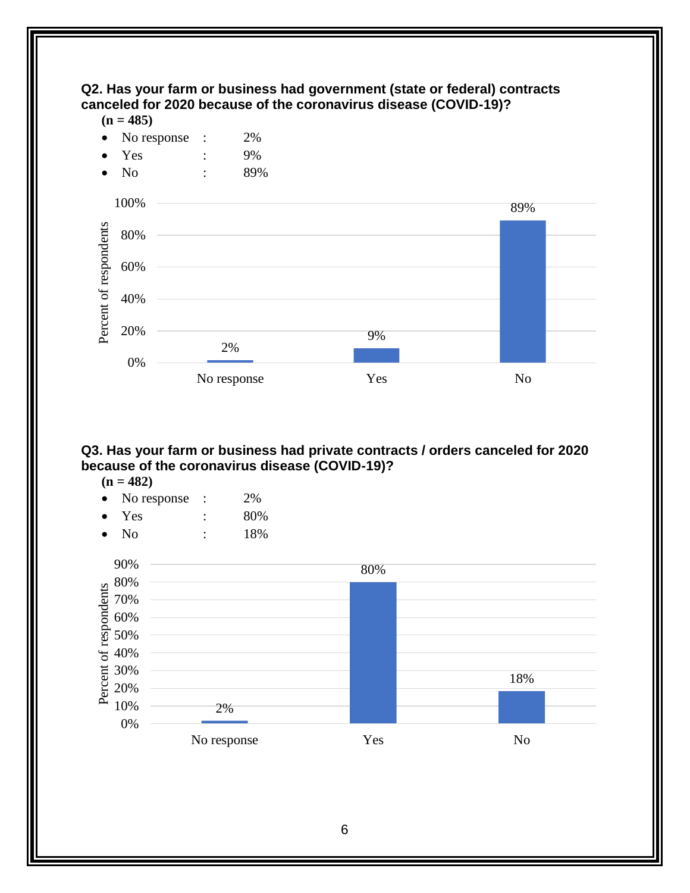#### <span id="page-11-0"></span>**Q2. Has your farm or business had government (state or federal) contracts canceled for 2020 because of the coronavirus disease (COVID-19)?**

 $(n = 485)$ 



#### <span id="page-11-1"></span>**Q3. Has your farm or business had private contracts / orders canceled for 2020 because of the coronavirus disease (COVID-19)?**

 $(n = 482)$ 

- No response : 2%
- $Yes$  :  $80\%$
- No : 18%

<span id="page-11-2"></span>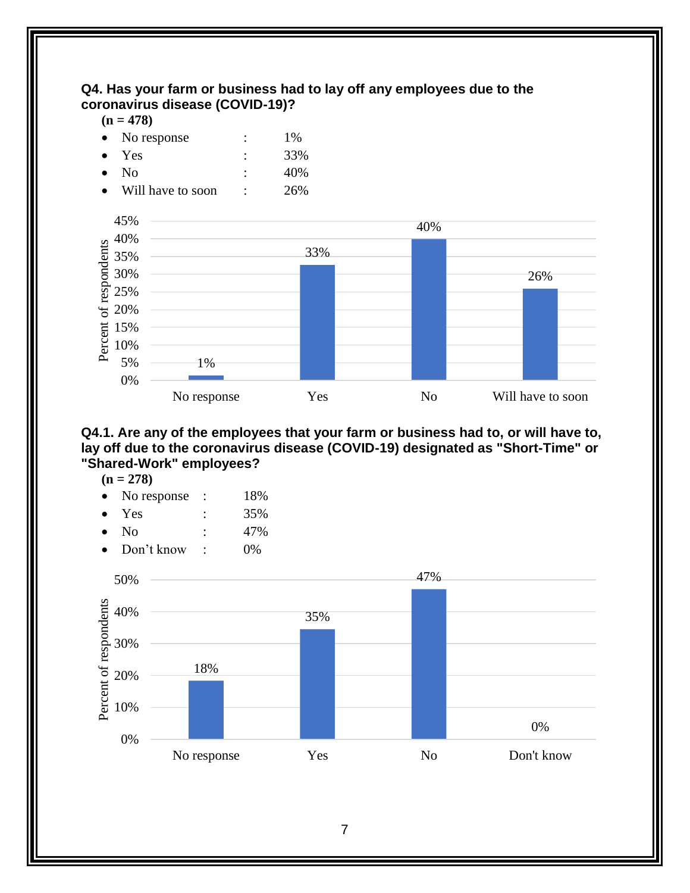#### **Q4. Has your farm or business had to lay off any employees due to the coronavirus disease (COVID-19)?**

#### $(n = 478)$

|           | • No response | ٠ | 1%  |
|-----------|---------------|---|-----|
|           | $\bullet$ Yes | ٠ | 33% |
| $\bullet$ | - No          | ٠ | 40% |

Will have to soon :  $26\%$ 



<span id="page-12-0"></span>**Q4.1. Are any of the employees that your farm or business had to, or will have to, lay off due to the coronavirus disease (COVID-19) designated as "Short-Time" or "Shared-Work" employees?** 

- **(n = 278)**
- No response : 18%
- Yes : 35%
- No : 47%
- Don't know : 0%

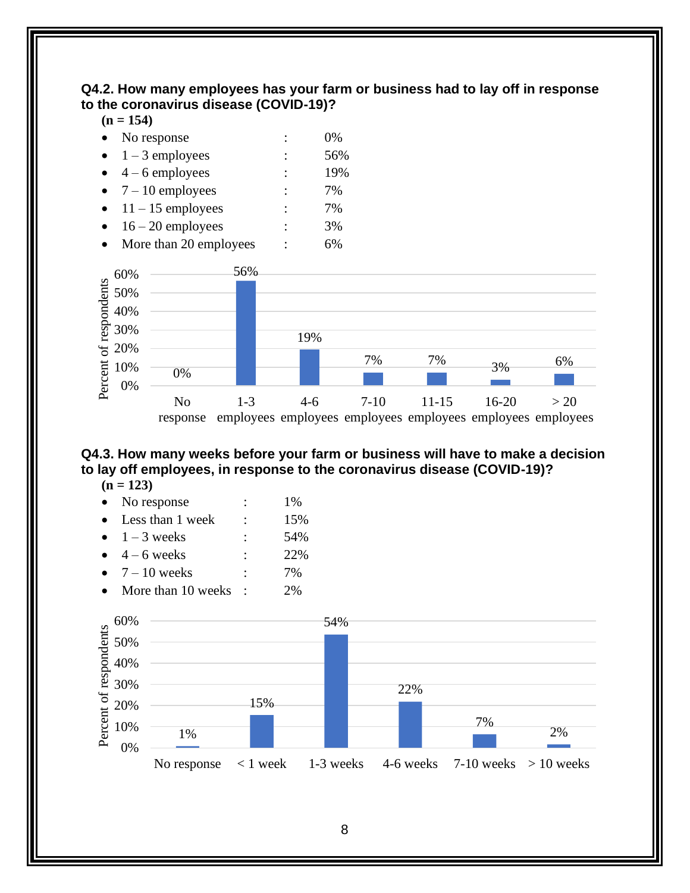#### <span id="page-13-0"></span>**Q4.2. How many employees has your farm or business had to lay off in response to the coronavirus disease (COVID-19)?**

#### **(n = 154)**

| No response | 0% |
|-------------|----|
|             |    |

- $1 3$  employees : 56%
- $\bullet$  4 6 employees : 19% •  $7 - 10$  employees : 7%
- $\bullet$  11 15 employees : 7%
- $\bullet$  16 20 employees : 3%
- More than 20 employees : 6%



#### <span id="page-13-1"></span>**Q4.3. How many weeks before your farm or business will have to make a decision to lay off employees, in response to the coronavirus disease (COVID-19)?**

 $(n = 123)$ 

| No response           |   | 1%  |
|-----------------------|---|-----|
| Less than 1 week      |   | 15% |
| $\bullet$ 1 – 3 weeks |   | 54% |
| $4-6$ weeks           |   | 22% |
| $7 - 10$ weeks        | ٠ | 7%  |
| More than 10 weeks    |   | 2%  |

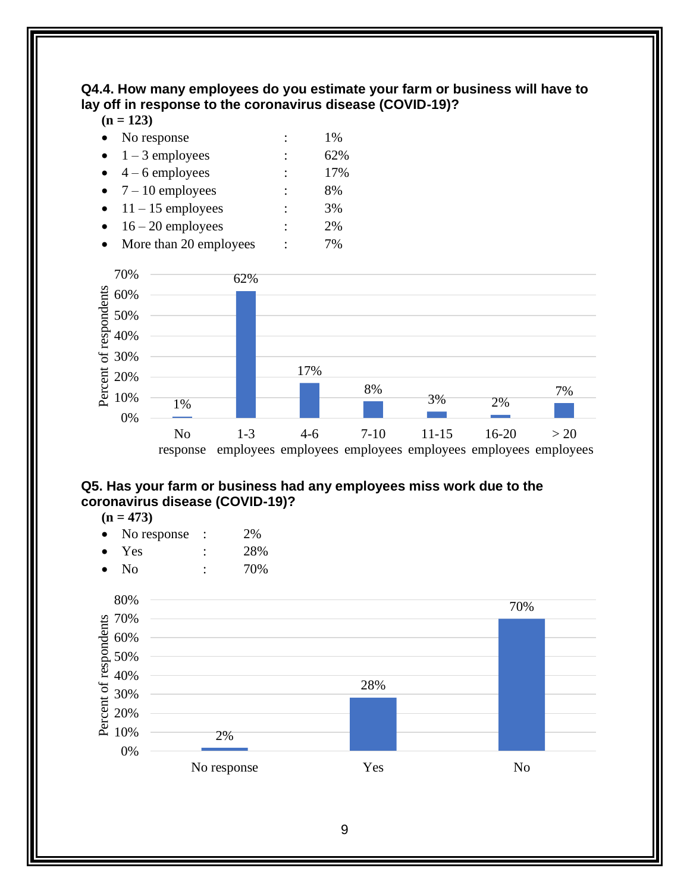#### <span id="page-14-0"></span>**Q4.4. How many employees do you estimate your farm or business will have to lay off in response to the coronavirus disease (COVID-19)?**

#### **(n = 123)**

- No response : 1%
- $\bullet$  1 3 employees : 62%
- $\bullet$  4 6 employees : 17%
- $7 10$  employees : 8% •  $11 - 15$  employees : 3%
- $\bullet$  16 20 employees : 2%
- More than 20 employees : 7%



#### <span id="page-14-1"></span>**Q5. Has your farm or business had any employees miss work due to the coronavirus disease (COVID-19)?**



- No response : 2%
- Yes : 28%
- No : 70%

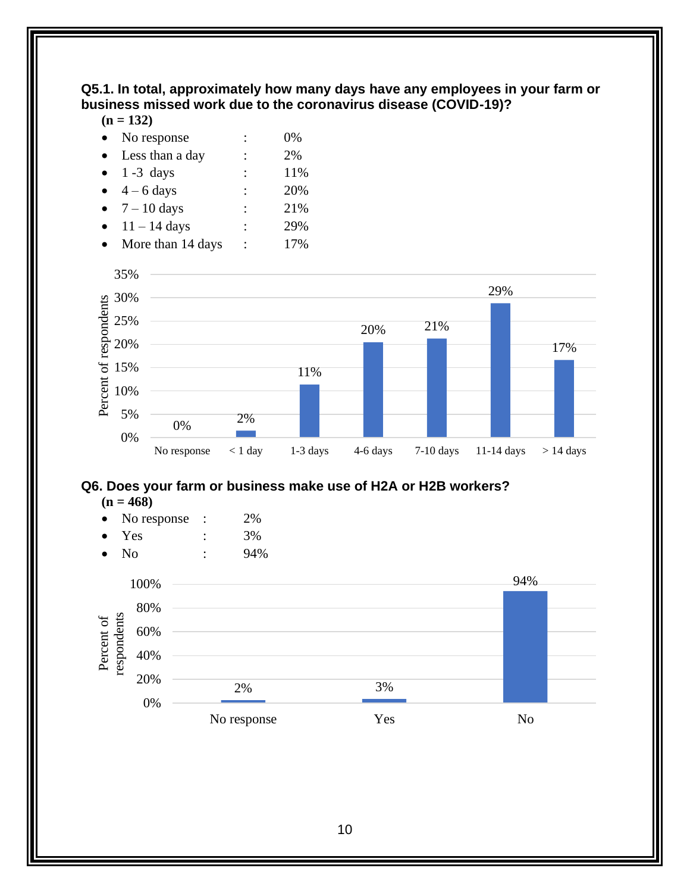#### <span id="page-15-0"></span>**Q5.1. In total, approximately how many days have any employees in your farm or business missed work due to the coronavirus disease (COVID-19)?**

**(n = 132)**

| No response         |                      | 0%  |
|---------------------|----------------------|-----|
| Less than a day     |                      | 2%  |
| $\bullet$ 1 -3 days | ٠                    | 11% |
| $4 - 6$ days        | ٠                    | 20% |
| $7 - 10$ days       | $\ddot{\phantom{a}}$ | 21% |
| $11 - 14$ days      |                      | 29% |
|                     |                      |     |

• More than 14 days : 17%



## <span id="page-15-1"></span>**Q6. Does your farm or business make use of H2A or H2B workers?**

#### **(n = 468)**

- No response : 2%
- $Yes : 3\%$
- No : 94%

<span id="page-15-2"></span>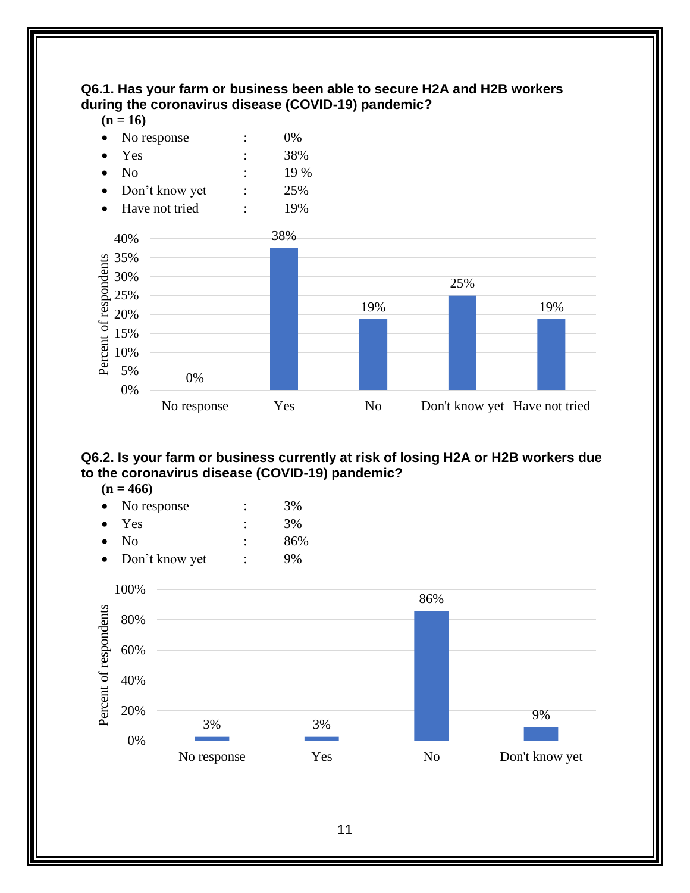#### **Q6.1. Has your farm or business been able to secure H2A and H2B workers during the coronavirus disease (COVID-19) pandemic?**

#### $(n = 16)$



#### <span id="page-16-0"></span>**Q6.2. Is your farm or business currently at risk of losing H2A or H2B workers due to the coronavirus disease (COVID-19) pandemic?**

|  | חנח |
|--|-----|
|--|-----|

|           | No response    |   | 3%  |
|-----------|----------------|---|-----|
|           | $\bullet$ Yes  |   | 3%  |
| $\bullet$ | - No           |   | 86% |
|           | Don't know yet | ٠ | 9%  |

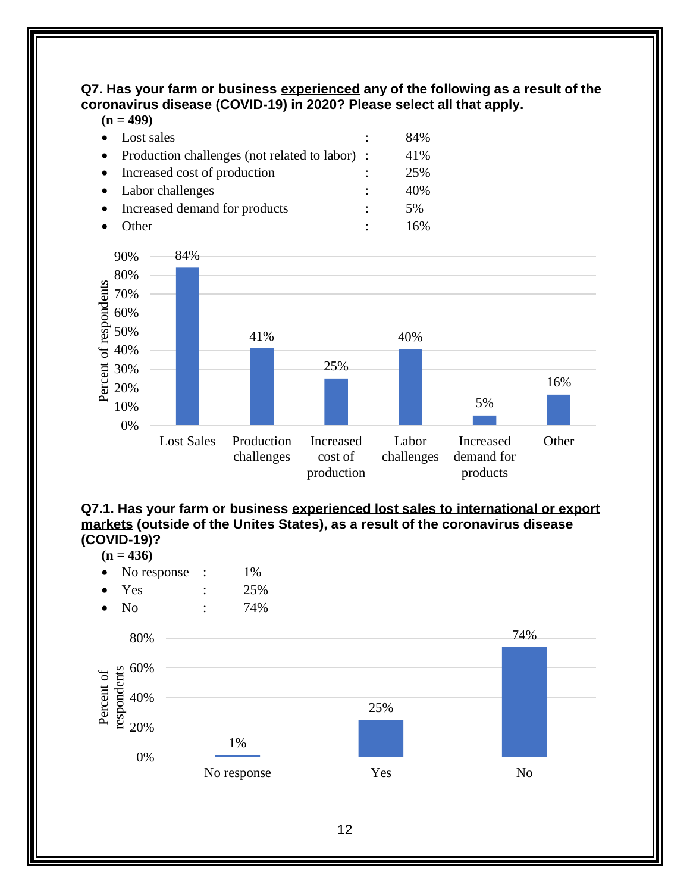#### <span id="page-17-0"></span>**Q7. Has your farm or business experienced any of the following as a result of the coronavirus disease (COVID-19) in 2020? Please select all that apply. (n = 499)**

| $H = 422$                                        |                      |     |
|--------------------------------------------------|----------------------|-----|
| Lost sales                                       | $\ddot{\cdot}$       | 84% |
| • Production challenges (not related to labor) : |                      | 41% |
| • Increased cost of production                   | $\ddot{\phantom{a}}$ | 25% |
| • Labor challenges                               |                      | 40% |
| Increased demand for products                    | $\ddot{\cdot}$       | 5%  |
| Other)                                           |                      |     |



<span id="page-17-1"></span>

#### $(n = 436)$

- No response : 1%
- $Yes$  :  $25\%$
- No : 74%

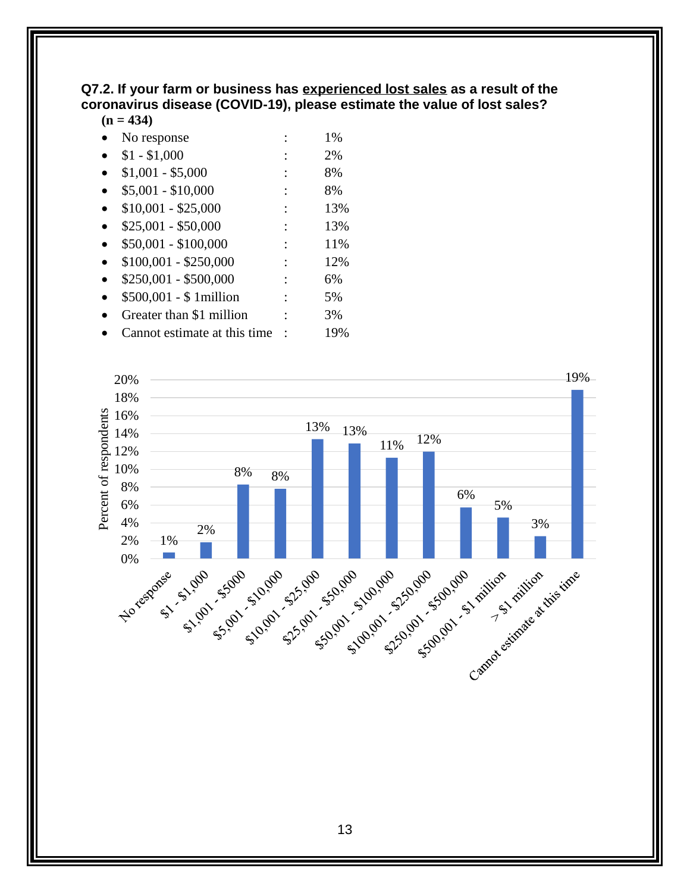#### <span id="page-18-0"></span>**Q7.2. If your farm or business has experienced lost sales as a result of the coronavirus disease (COVID-19), please estimate the value of lost sales?**

#### **(n = 434)**

| No response                   | 1%  |
|-------------------------------|-----|
| $$1 - $1,000$                 | 2%  |
| $$1,001 - $5,000$             | 8%  |
| $$5,001 - $10,000$            | 8%  |
| $$10,001 - $25,000$           | 13% |
| $$25,001 - $50,000$           | 13% |
| $$50,001 - $100,000$          | 11% |
| $$100,001 - $250,000$         | 12% |
| \$250,001 - \$500,000         | 6%  |
| \$500,001 - \$ 1million       | 5%  |
| Greater than \$1 million      | 3%  |
| Cannot estimate at this time. | 19% |

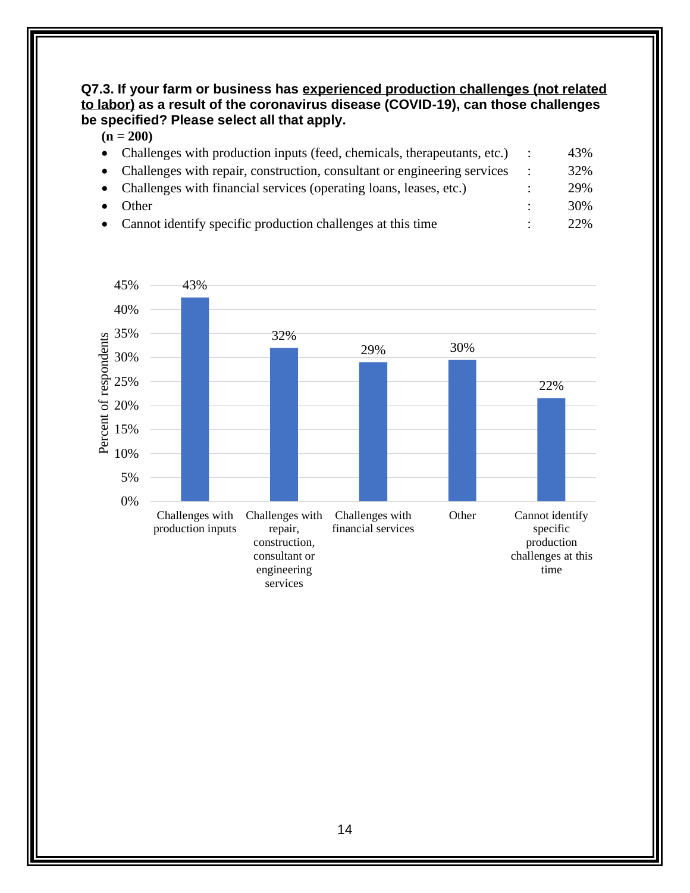#### <span id="page-19-0"></span>**Q7.3. If your farm or business has experienced production challenges (not related to labor) as a result of the coronavirus disease (COVID-19), can those challenges be specified? Please select all that apply.**

| $(n = 200)$ |  |
|-------------|--|
|-------------|--|

| • Challenges with production inputs (feed, chemicals, therapeutants, etc.) | 43%  |
|----------------------------------------------------------------------------|------|
| • Challenges with repair, construction, consultant or engineering services | 32%  |
| • Challenges with financial services (operating loans, leases, etc.)       | 29%  |
| <b>Other</b>                                                               | 30%  |
| • Cannot identify specific production challenges at this time              | 22\% |

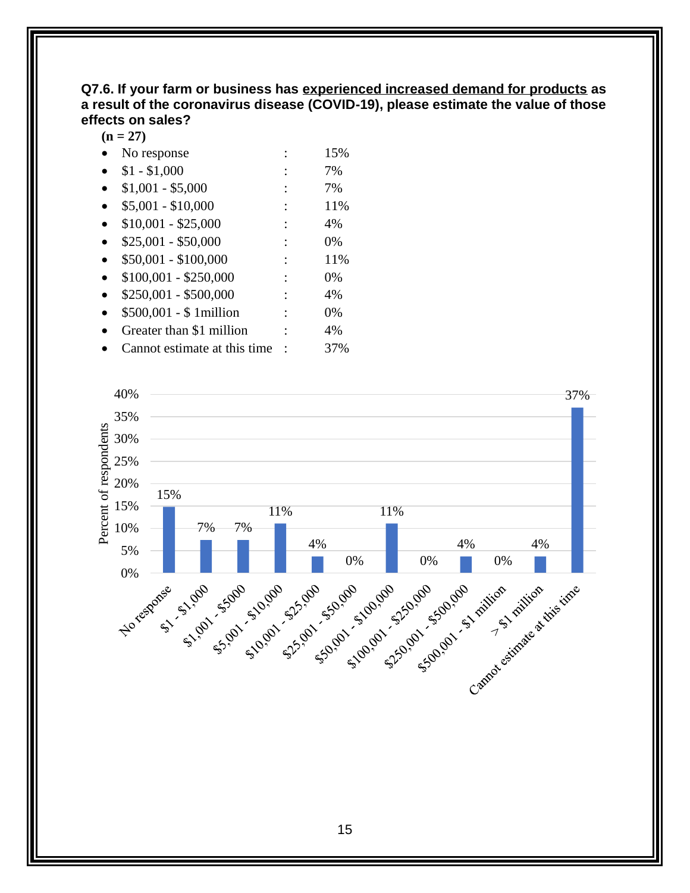#### <span id="page-20-0"></span>**Q7.6. If your farm or business has experienced increased demand for products as a result of the coronavirus disease (COVID-19), please estimate the value of those effects on sales?**

 $(n = 27)$ 

- No response : 15%
- $$1 $1,000$  : 7%
- $$1,001 $5,000$  : 7%
- $$5,001 $10,000$  : 11%
- $$10,001 $25,000$  : 4%
- $$25,001 $50,000$  : 0%
- $$50,001 $100,000$  : 11%
- $$100,001 $250,000$  : 0%
- $$250,001 $500,000$  : 4%
- \$500,001 \$ 1million : 0%
- Greater than \$1 million : 4%
- Cannot estimate at this time :  $37\%$

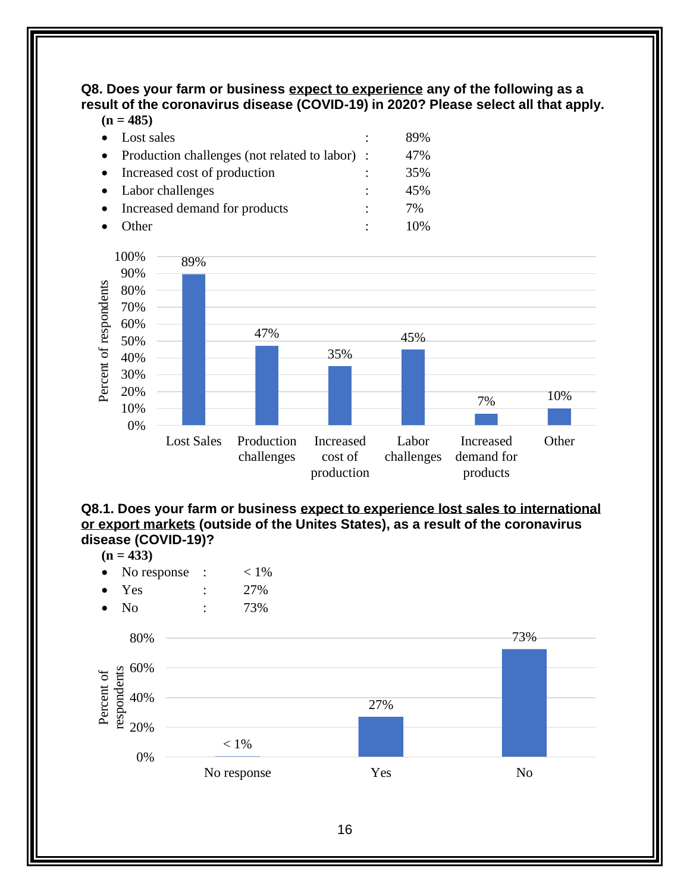<span id="page-21-0"></span>**Q8. Does your farm or business expect to experience any of the following as a result of the coronavirus disease (COVID-19) in 2020? Please select all that apply.**  $(n = 485)$ 

| $\mathbf{u} - \mathbf{v}$                        |                |     |
|--------------------------------------------------|----------------|-----|
| Lost sales                                       | $\ddot{\cdot}$ | 89% |
| • Production challenges (not related to labor) : |                | 47% |
| Increased cost of production                     |                | 35% |
| • Labor challenges                               |                | 45% |
| Increased demand for products                    | ٠              | 7%  |
| $\cap$ ther                                      |                | 10% |



<span id="page-21-1"></span>

 $(n = 433)$ 

- No response :  $\leq 1\%$
- Yes : 27%
- No : 73%

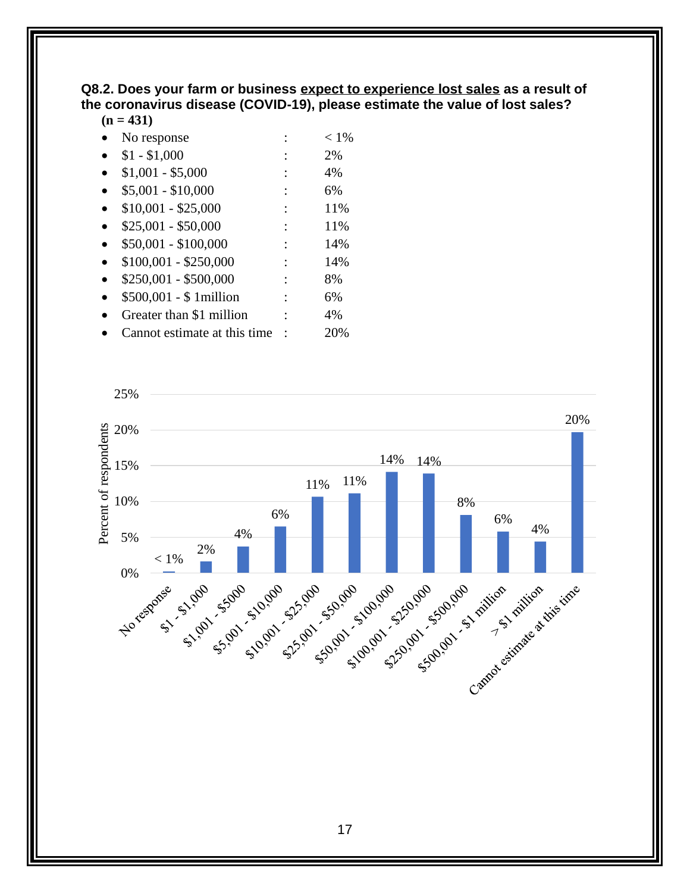#### <span id="page-22-0"></span>**Q8.2. Does your farm or business expect to experience lost sales as a result of the coronavirus disease (COVID-19), please estimate the value of lost sales?**

#### $(n = 431)$

| No response                  | $< 1\%$ |
|------------------------------|---------|
| $$1 - $1,000$                | 2%      |
| $$1,001 - $5,000$            | 4%      |
| $$5,001 - $10,000$           | 6%      |
| $$10,001 - $25,000$          | 11%     |
| $$25,001 - $50,000$          | 11%     |
| $$50,001 - $100,000$         | 14%     |
| $$100,001 - $250,000$        | 14%     |
| \$250,001 - \$500,000        | 8%      |
| \$500,001 - \$ 1 million     | 6%      |
| Greater than \$1 million     | 4%      |
| Cannot estimate at this time | 20%     |

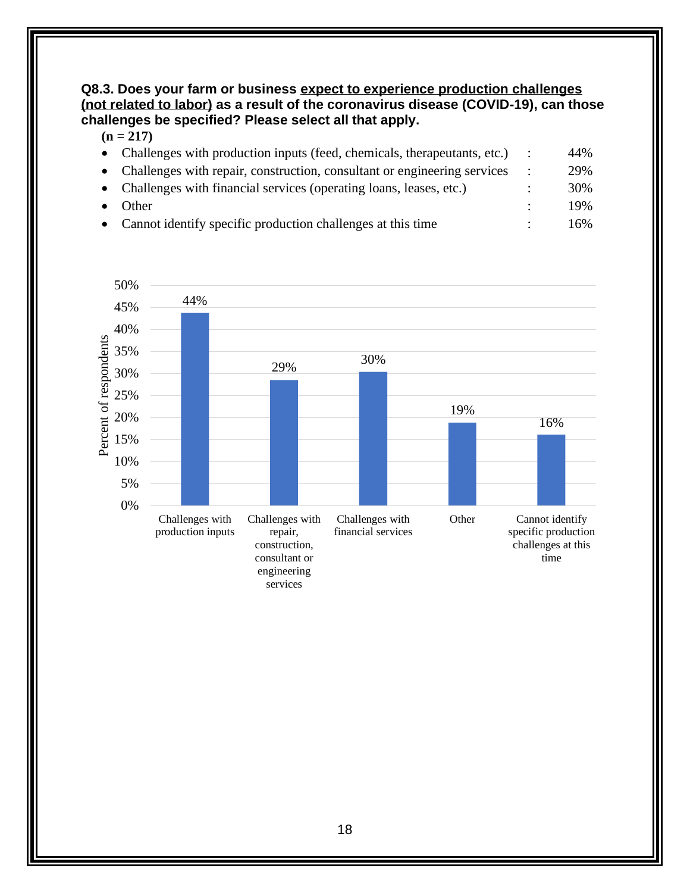#### <span id="page-23-0"></span>**Q8.3. Does your farm or business expect to experience production challenges (not related to labor) as a result of the coronavirus disease (COVID-19), can those challenges be specified? Please select all that apply.**

#### $(n = 217)$

| • Challenges with production inputs (feed, chemicals, therapeutants, etc.) | 44% |
|----------------------------------------------------------------------------|-----|
| • Challenges with repair, construction, consultant or engineering services | 29% |
| • Challenges with financial services (operating loans, leases, etc.)       | 30% |
| <b>Other</b>                                                               | 19% |
| • Cannot identify specific production challenges at this time              | 16% |

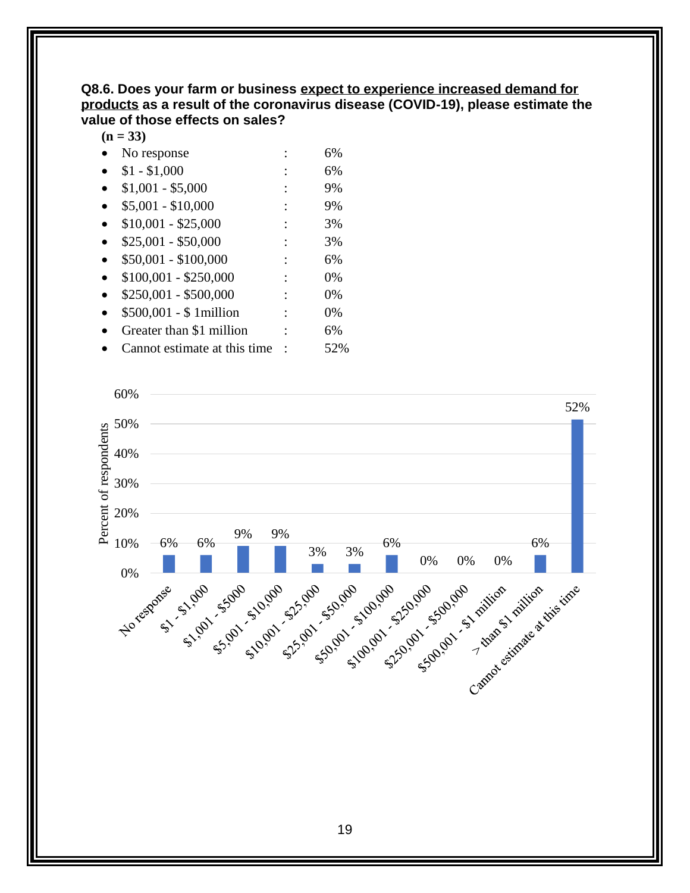#### <span id="page-24-0"></span>**Q8.6. Does your farm or business expect to experience increased demand for products as a result of the coronavirus disease (COVID-19), please estimate the value of those effects on sales?**

**(n = 33)**

- No response : 6%
- $$1 $1,000$  : 6%
- $$1,001 $5,000$  : 9%
- $$5,001 $10,000$  : 9%
- $$10,001 $25,000$  : 3%
- $$25,001 $50,000$  : 3%
- $$50,001 $100,000$  : 6%
- $$100,001 $250,000$  : 0%
- $$250,001 $500,000$  : 0%
- \$500,001 \$ 1million : 0%
- Greater than \$1 million : 6%
- Cannot estimate at this time : 52%

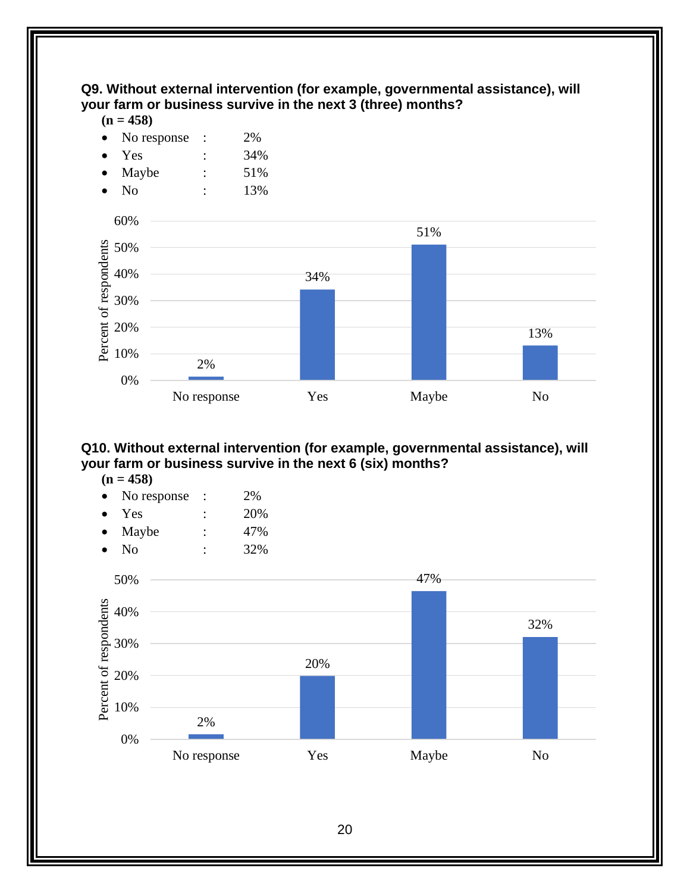#### <span id="page-25-0"></span>**Q9. Without external intervention (for example, governmental assistance), will your farm or business survive in the next 3 (three) months?**

 $(n = 458)$ 

- No response : 2%
- Yes : 34%
- Maybe : 51%
- No : 13%



#### <span id="page-25-1"></span>**Q10. Without external intervention (for example, governmental assistance), will your farm or business survive in the next 6 (six) months?**

- $(n = 458)$
- No response : 2%
- Yes : 20%
- Maybe :  $47\%$
- No : 32%

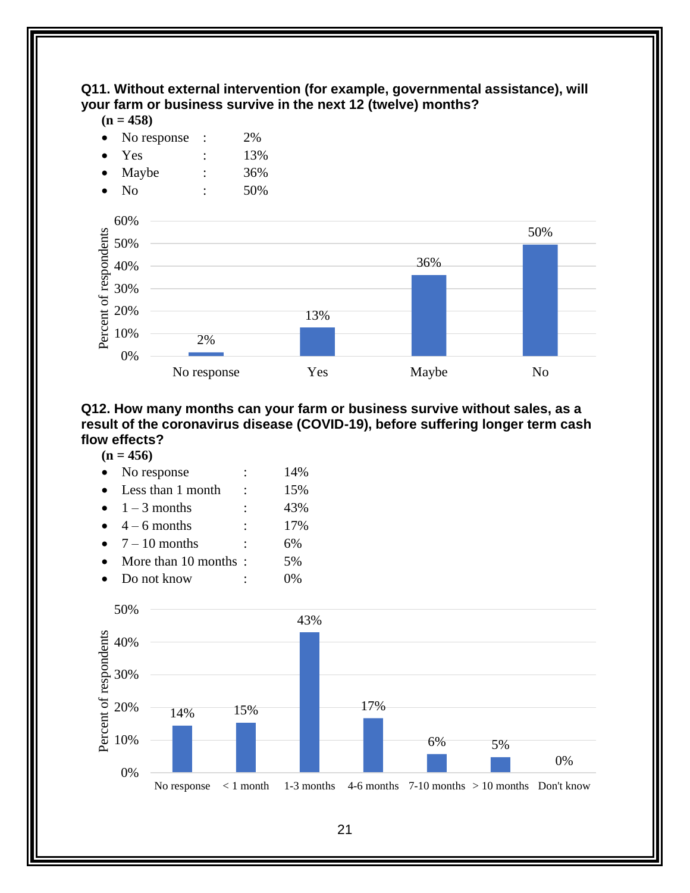#### <span id="page-26-0"></span>**Q11. Without external intervention (for example, governmental assistance), will your farm or business survive in the next 12 (twelve) months?**

#### $(n = 458)$

| $\bullet$ | No response | 2% |
|-----------|-------------|----|
|           |             |    |

- Yes : 13%
- Maybe : 36%



#### <span id="page-26-1"></span>**Q12. How many months can your farm or business survive without sales, as a result of the coronavirus disease (COVID-19), before suffering longer term cash flow effects?**

#### **(n = 456)**

| No response            |   | 14% |
|------------------------|---|-----|
| Less than 1 month      |   | 15% |
| $\bullet$ 1 – 3 months |   | 43% |
| $4 - 6$ months         | ٠ | 17% |
| • $7-10$ months        | ٠ | 6%  |
| More than 10 months:   |   | 5%  |
| Do not know            |   |     |

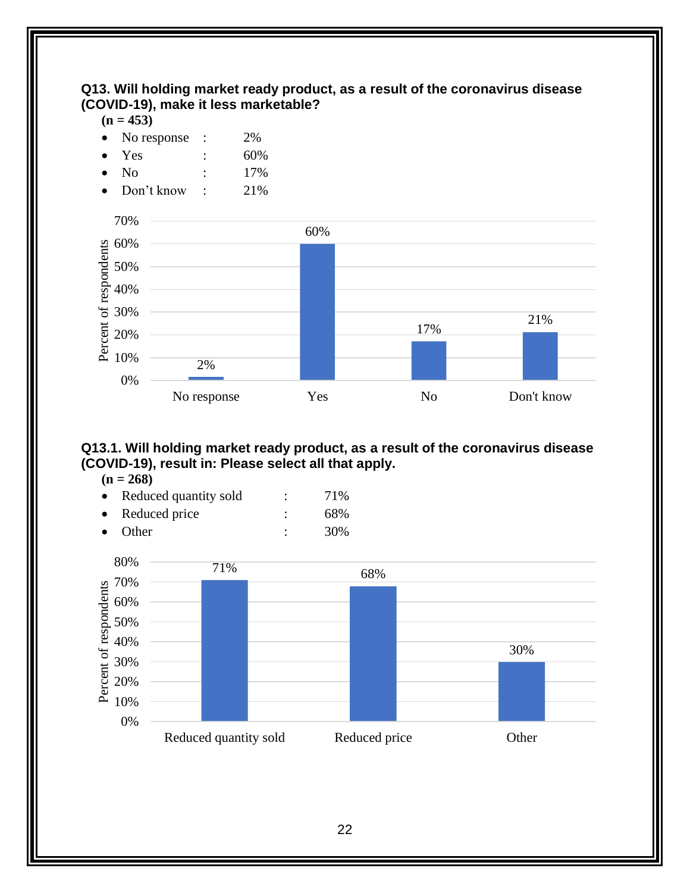#### <span id="page-27-0"></span>**Q13. Will holding market ready product, as a result of the coronavirus disease (COVID-19), make it less marketable?**

 $(n = 453)$ 

- No response : 2%
- Yes : 60%
- No : 17%
- Don't know : 21%



#### <span id="page-27-1"></span>**Q13.1. Will holding market ready product, as a result of the coronavirus disease (COVID-19), result in: Please select all that apply.**

 $(n = 268)$ 

| $\bullet$ | Reduced quantity sold | 71% |
|-----------|-----------------------|-----|
| $\bullet$ | Reduced price         | 68% |
|           |                       |     |

• Other : 30%

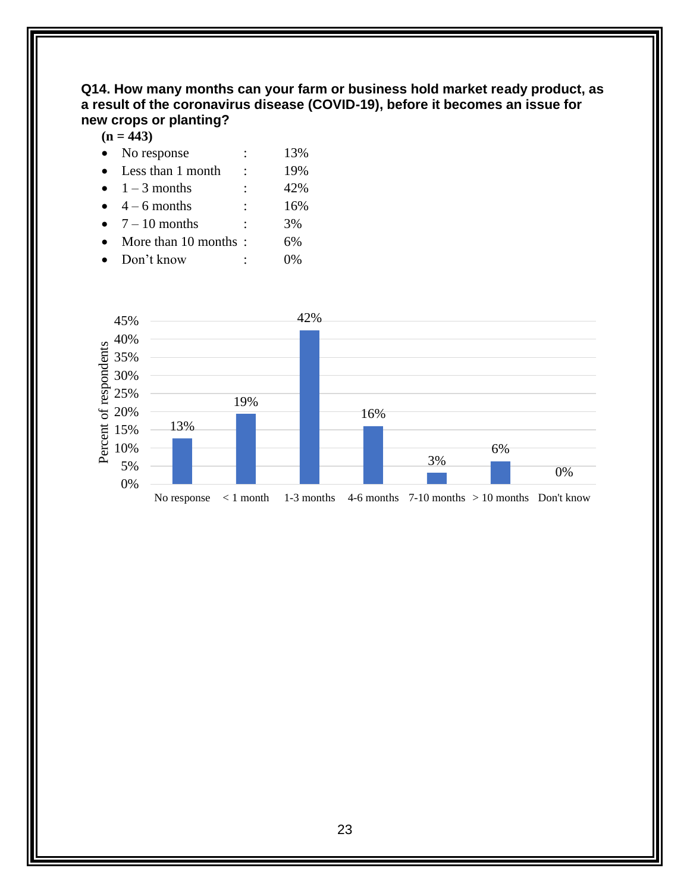#### <span id="page-28-0"></span>**Q14. How many months can your farm or business hold market ready product, as a result of the coronavirus disease (COVID-19), before it becomes an issue for new crops or planting?**

 $(n = 443)$ 

| $\bullet$ | No response            |                | 13% |
|-----------|------------------------|----------------|-----|
|           | Less than 1 month      |                | 19% |
|           | $\bullet$ 1 – 3 months | $\ddot{\cdot}$ | 42% |
|           | $4-6$ months           | ٠              | 16% |
| $\bullet$ | $7 - 10$ months        | ٠              | 3%  |
|           |                        |                |     |

- More than 10 months : 6%
- Don't know : 0%

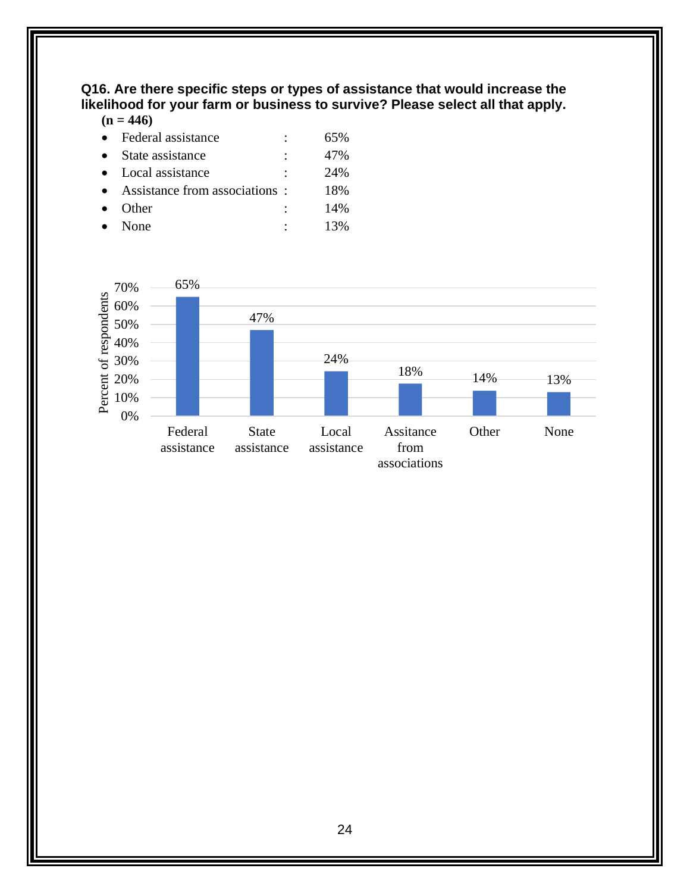#### <span id="page-29-0"></span>**Q16. Are there specific steps or types of assistance that would increase the likelihood for your farm or business to survive? Please select all that apply.**

#### $(n = 446)$

| Federal assistance            | 65% |
|-------------------------------|-----|
| State assistance              | 47% |
| Local assistance              | 24% |
| Assistance from associations: | 18% |
| Other                         | 14% |
| None                          | 13% |

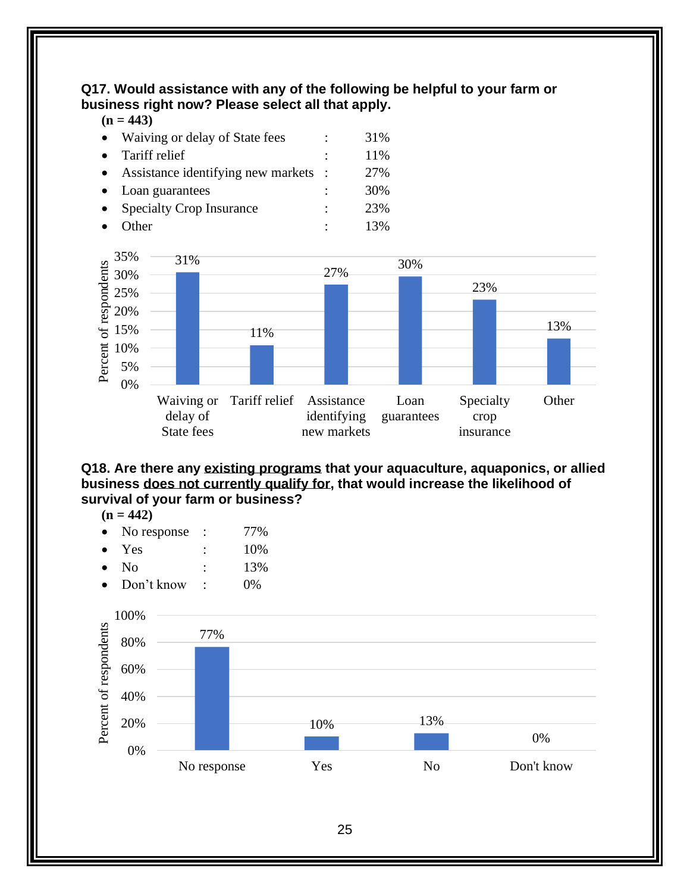<span id="page-30-0"></span>**Q17. Would assistance with any of the following be helpful to your farm or business right now? Please select all that apply.**

**(n = 443)**

| Waiving or delay of State fees     | 31%    |
|------------------------------------|--------|
| Tariff relief                      | 11%    |
| Assistance identifying new markets | 27%    |
| Loan guarantees                    | 30%    |
| <b>Specialty Crop Insurance</b>    | 23%    |
| )ther                              | $13\%$ |
|                                    |        |



<span id="page-30-1"></span>**Q18. Are there any existing programs that your aquaculture, aquaponics, or allied business does not currently qualify for, that would increase the likelihood of survival of your farm or business?**

<span id="page-30-2"></span>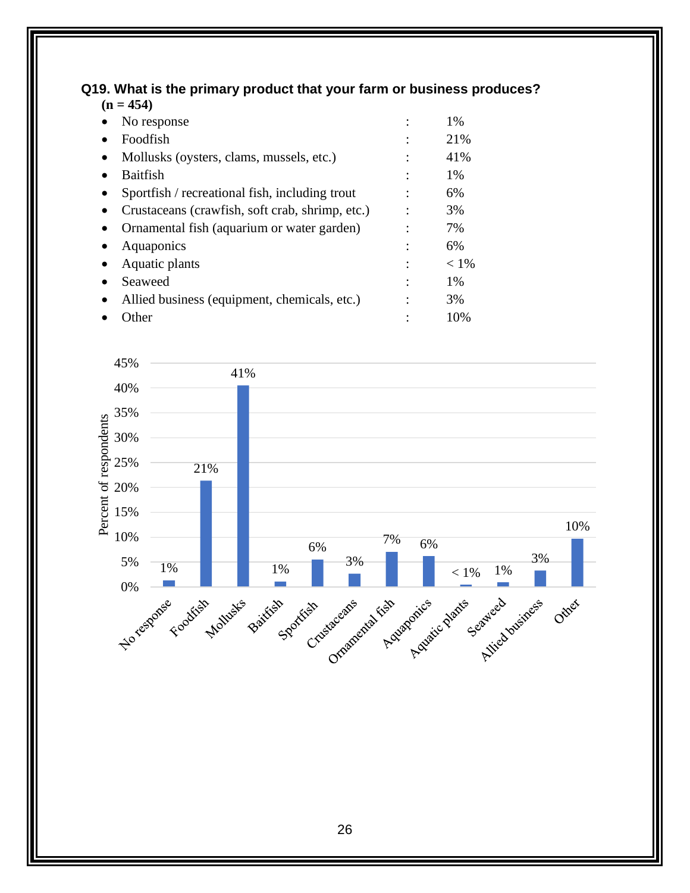#### **Q19. What is the primary product that your farm or business produces? (n = 454)**

| No response                                     | 1%      |
|-------------------------------------------------|---------|
| Foodfish                                        | 21%     |
| Mollusks (oysters, clams, mussels, etc.)        | 41%     |
| <b>Baitfish</b>                                 | 1%      |
| Sportfish / recreational fish, including trout  | 6%      |
| Crustaceans (crawfish, soft crab, shrimp, etc.) | 3%      |
| Ornamental fish (aquarium or water garden)      | 7%      |
| Aquaponics                                      | 6%      |
| Aquatic plants                                  | $< 1\%$ |
| Seaweed                                         | 1%      |
| Allied business (equipment, chemicals, etc.)    | 3%      |
| Other                                           | 10%     |

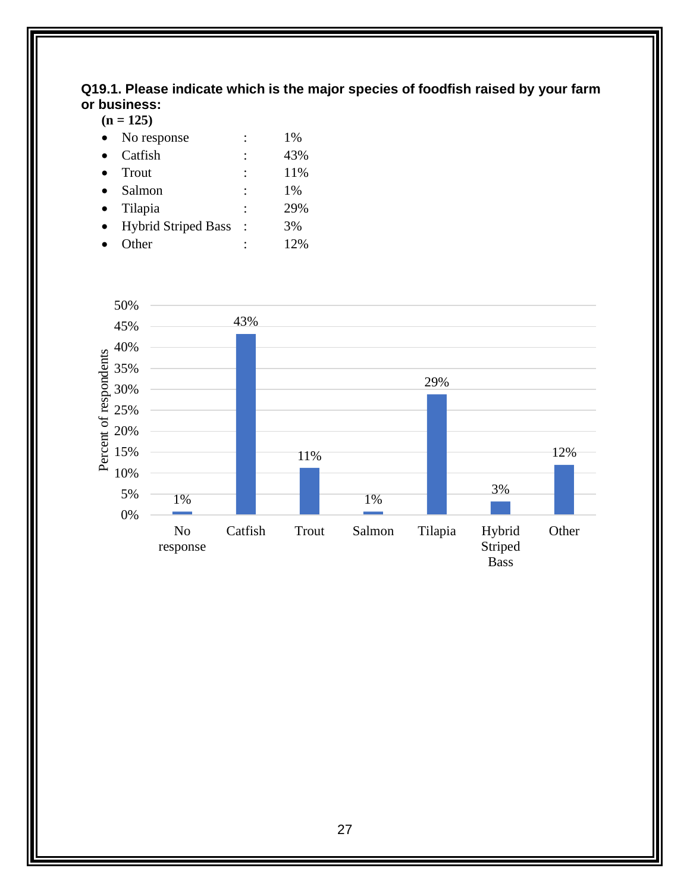#### <span id="page-32-0"></span>**Q19.1. Please indicate which is the major species of foodfish raised by your farm or business:**

 $(n = 125)$ 

| No response                |                | 1%  |
|----------------------------|----------------|-----|
| Catfish                    |                | 43% |
| Trout                      |                | 11% |
| Salmon                     | ٠              | 1%  |
| Tilapia                    | $\ddot{\cdot}$ | 29% |
| <b>Hybrid Striped Bass</b> |                | 3%  |
| Other                      |                | 12% |
|                            |                |     |

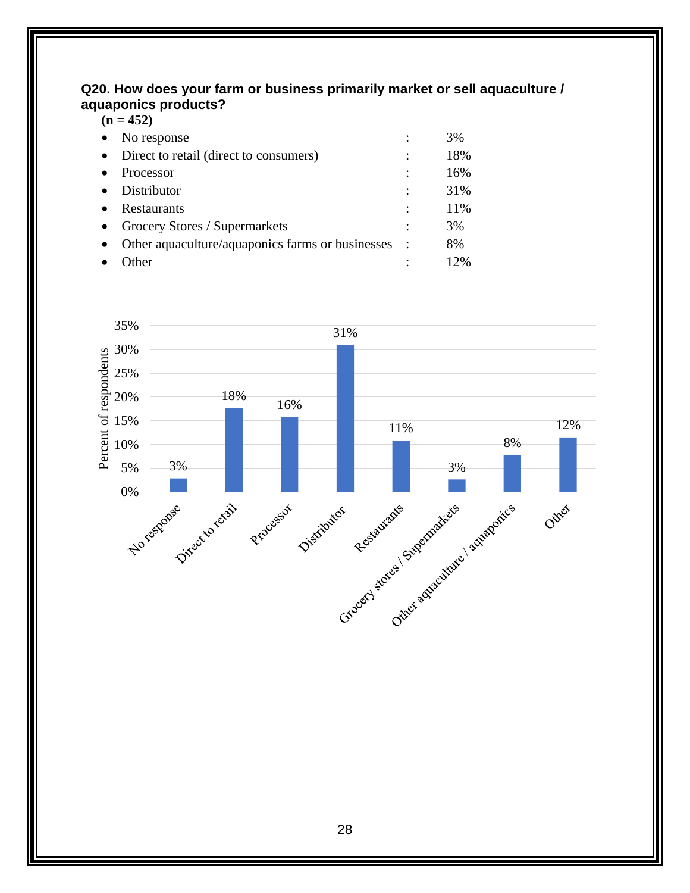#### <span id="page-33-0"></span>**Q20. How does your farm or business primarily market or sell aquaculture / aquaponics products?**  $(n = 452)$

| No response                            |              | 3%                                                 |
|----------------------------------------|--------------|----------------------------------------------------|
| Direct to retail (direct to consumers) |              | 18%                                                |
| Processor                              |              | 16%                                                |
| Distributor                            |              | 31%                                                |
| Restaurants                            |              | 11%                                                |
| Grocery Stores / Supermarkets          |              | 3%                                                 |
|                                        |              | 8%                                                 |
| ther                                   |              | 12%                                                |
|                                        | $(11 - 432)$ | Other aquaculture/aquaponics farms or businesses : |

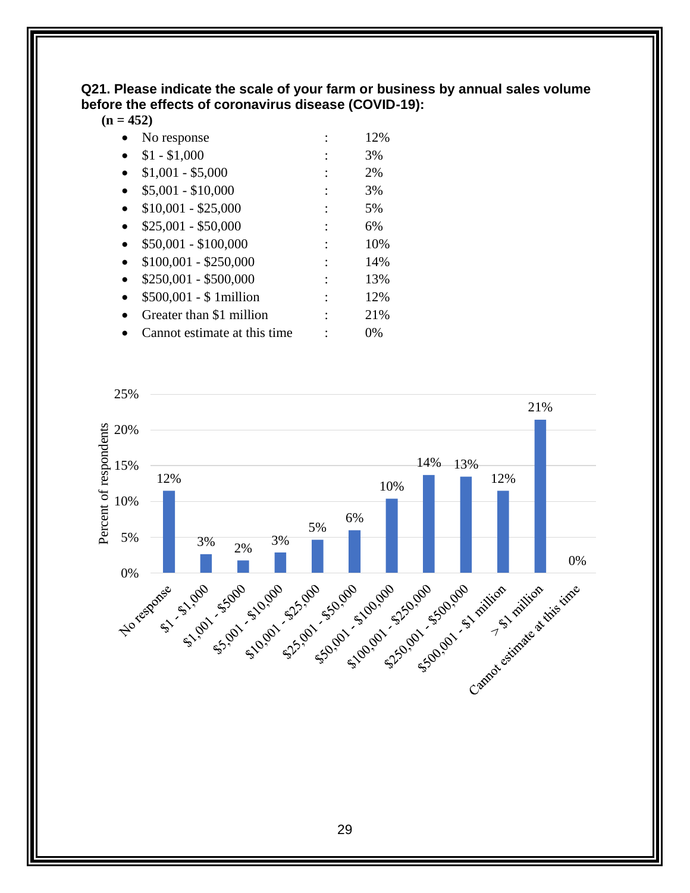<span id="page-34-0"></span>**Q21. Please indicate the scale of your farm or business by annual sales volume before the effects of coronavirus disease (COVID-19):**

**(n = 452)**

| No response                   | 12% |
|-------------------------------|-----|
| $$1 - $1,000$                 | 3%  |
| $$1,001 - $5,000$             | 2%  |
| $$5,001 - $10,000$            | 3%  |
| $$10,001 - $25,000$           | 5%  |
| $$25,001 - $50,000$           | 6%  |
| $$50,001 - $100,000$          | 10% |
| $$100,001 - $250,000$         | 14% |
| $$250,001 - $500,000$         | 13% |
| $$500,001 - $1$ million       | 12% |
| Greater than \$1 million      | 21% |
| Cannot estimate at this time. | 0%  |

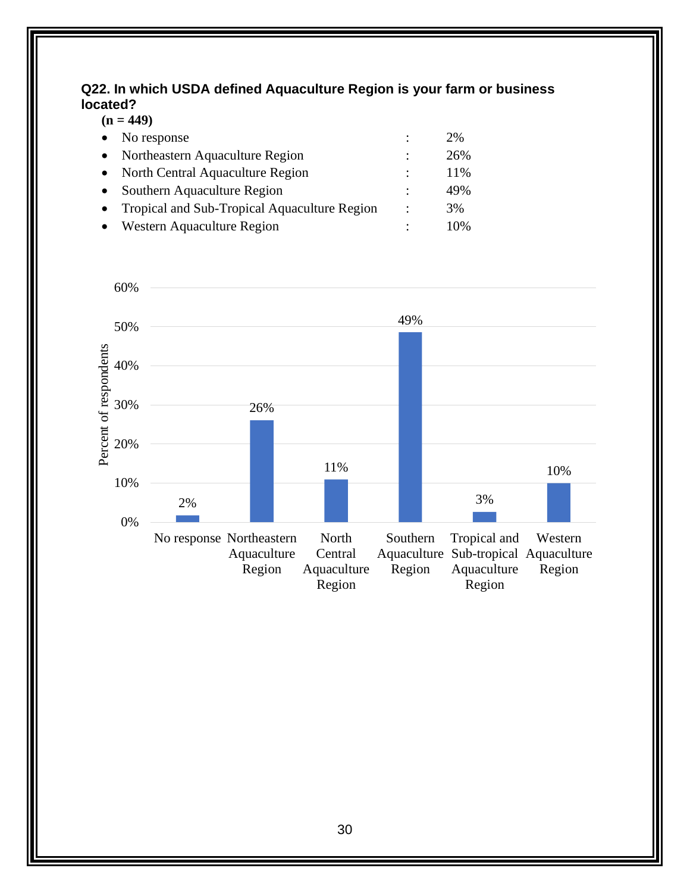#### <span id="page-35-0"></span>**Q22. In which USDA defined Aquaculture Region is your farm or business located?**

| $\bullet$ | No response                                  |   | 2%  |
|-----------|----------------------------------------------|---|-----|
|           | Northeastern Aquaculture Region              | ٠ | 26% |
| $\bullet$ | North Central Aquaculture Region             |   | 11% |
|           | Southern Aquaculture Region                  |   | 49% |
|           | Tropical and Sub-Tropical Aquaculture Region | ٠ | 3%  |
|           | Western Aquaculture Region                   |   | 10% |